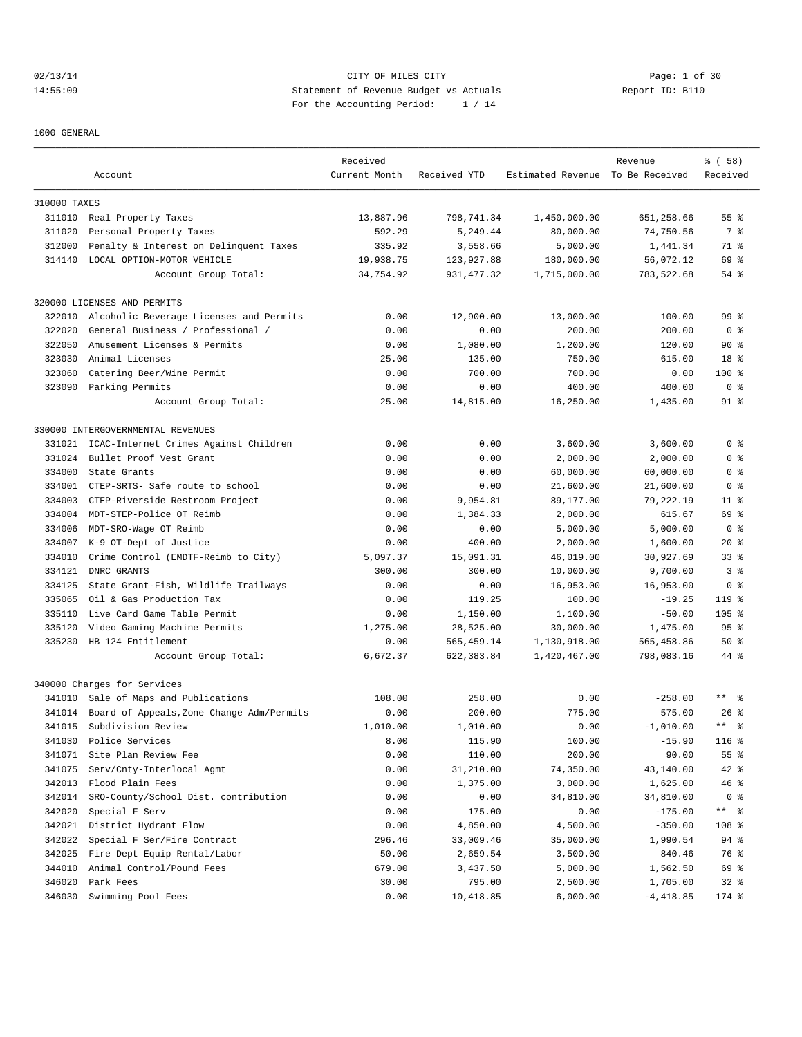02/13/14 Page: 1 of 30 14:55:09 Statement of Revenue Budget vs Actuals Report ID: B110 For the Accounting Period: 1 / 14

1000 GENERAL

|              |                                           | Received      |              |                                  | Revenue     | % ( 58 )                  |
|--------------|-------------------------------------------|---------------|--------------|----------------------------------|-------------|---------------------------|
|              | Account                                   | Current Month | Received YTD | Estimated Revenue To Be Received |             | Received                  |
| 310000 TAXES |                                           |               |              |                                  |             |                           |
|              | 311010 Real Property Taxes                | 13,887.96     | 798,741.34   | 1,450,000.00                     | 651,258.66  | 55 <sup>8</sup>           |
| 311020       | Personal Property Taxes                   | 592.29        | 5,249.44     | 80,000.00                        | 74,750.56   | 7 %                       |
| 312000       | Penalty & Interest on Delinquent Taxes    | 335.92        | 3,558.66     | 5,000.00                         | 1,441.34    | 71 %                      |
| 314140       | LOCAL OPTION-MOTOR VEHICLE                | 19,938.75     | 123,927.88   | 180,000.00                       | 56,072.12   | 69 %                      |
|              | Account Group Total:                      | 34,754.92     | 931, 477.32  | 1,715,000.00                     | 783,522.68  | $54$ $%$                  |
|              | 320000 LICENSES AND PERMITS               |               |              |                                  |             |                           |
| 322010       | Alcoholic Beverage Licenses and Permits   | 0.00          | 12,900.00    | 13,000.00                        | 100.00      | 99 <sub>8</sub>           |
| 322020       | General Business / Professional /         | 0.00          | 0.00         | 200.00                           | 200.00      | 0 <sub>8</sub>            |
| 322050       | Amusement Licenses & Permits              | 0.00          | 1,080.00     | 1,200.00                         | 120.00      | 90%                       |
| 323030       | Animal Licenses                           | 25.00         | 135.00       | 750.00                           | 615.00      | 18 <sup>8</sup>           |
| 323060       | Catering Beer/Wine Permit                 | 0.00          | 700.00       | 700.00                           | 0.00        | 100 %                     |
| 323090       | Parking Permits                           | 0.00          | 0.00         | 400.00                           | 400.00      | 0 <sup>8</sup>            |
|              |                                           | 25.00         | 14,815.00    | 16,250.00                        |             | $91$ %                    |
|              | Account Group Total:                      |               |              |                                  | 1,435.00    |                           |
|              | 330000 INTERGOVERNMENTAL REVENUES         |               |              |                                  |             |                           |
| 331021       | ICAC-Internet Crimes Against Children     | 0.00          | 0.00         | 3,600.00                         | 3,600.00    | 0 <sup>8</sup>            |
| 331024       | Bullet Proof Vest Grant                   | 0.00          | 0.00         | 2,000.00                         | 2,000.00    | 0 <sup>8</sup>            |
| 334000       | State Grants                              | 0.00          | 0.00         | 60,000.00                        | 60,000.00   | 0 <sup>8</sup>            |
| 334001       | CTEP-SRTS- Safe route to school           | 0.00          | 0.00         | 21,600.00                        | 21,600.00   | 0 %                       |
| 334003       | CTEP-Riverside Restroom Project           | 0.00          | 9,954.81     | 89,177.00                        | 79,222.19   | $11$ %                    |
| 334004       | MDT-STEP-Police OT Reimb                  | 0.00          | 1,384.33     | 2,000.00                         | 615.67      | 69 %                      |
| 334006       | MDT-SRO-Wage OT Reimb                     | 0.00          | 0.00         | 5,000.00                         | 5,000.00    | 0 <sup>8</sup>            |
| 334007       | K-9 OT-Dept of Justice                    | 0.00          | 400.00       | 2,000.00                         | 1,600.00    | $20*$                     |
| 334010       | Crime Control (EMDTF-Reimb to City)       | 5,097.37      | 15,091.31    | 46,019.00                        | 30,927.69   | 33 <sup>8</sup>           |
| 334121       | DNRC GRANTS                               | 300.00        | 300.00       | 10,000.00                        | 9,700.00    | 3 <sup>8</sup>            |
| 334125       | State Grant-Fish, Wildlife Trailways      | 0.00          | 0.00         | 16,953.00                        | 16,953.00   | 0 <sub>8</sub>            |
| 335065       | Oil & Gas Production Tax                  | 0.00          | 119.25       | 100.00                           | $-19.25$    | $119$ %                   |
| 335110       | Live Card Game Table Permit               | 0.00          | 1,150.00     | 1,100.00                         | $-50.00$    | $105$ %                   |
| 335120       | Video Gaming Machine Permits              | 1,275.00      | 28,525.00    | 30,000.00                        | 1,475.00    | 95 <sup>8</sup>           |
| 335230       | HB 124 Entitlement                        | 0.00          | 565, 459.14  | 1,130,918.00                     | 565,458.86  | 50%                       |
|              | Account Group Total:                      | 6,672.37      | 622,383.84   | 1,420,467.00                     | 798,083.16  | 44 %                      |
|              | 340000 Charges for Services               |               |              |                                  |             |                           |
| 341010       | Sale of Maps and Publications             | 108.00        | 258.00       | 0.00                             | $-258.00$   | $***$ $%$                 |
| 341014       | Board of Appeals, Zone Change Adm/Permits | 0.00          | 200.00       | 775.00                           | 575.00      | $26$ %                    |
| 341015       | Subdivision Review                        | 1,010.00      | 1,010.00     | 0.00                             | $-1,010.00$ | $\star$ $\star$<br>。<br>。 |
| 341030       | Police Services                           | 8.00          | 115.90       | 100.00                           | $-15.90$    | 116 %                     |
| 341071       | Site Plan Review Fee                      | 0.00          | 110.00       | 200.00                           | 90.00       | 55 %                      |
| 341075       | Serv/Cnty-Interlocal Agmt                 | 0.00          | 31,210.00    | 74,350.00                        | 43,140.00   | $42$ %                    |
| 342013       | Flood Plain Fees                          | 0.00          | 1,375.00     | 3,000.00                         | 1,625.00    | 46 %                      |
| 342014       | SRO-County/School Dist. contribution      | 0.00          | 0.00         | 34,810.00                        | 34,810.00   | 0 <sup>8</sup>            |
| 342020       | Special F Serv                            | 0.00          | 175.00       | 0.00                             | $-175.00$   | ** %                      |
| 342021       | District Hydrant Flow                     | 0.00          | 4,850.00     | 4,500.00                         | $-350.00$   | 108 %                     |
| 342022       | Special F Ser/Fire Contract               | 296.46        | 33,009.46    | 35,000.00                        | 1,990.54    | 94 %                      |
| 342025       | Fire Dept Equip Rental/Labor              | 50.00         | 2,659.54     | 3,500.00                         | 840.46      | 76 %                      |
| 344010       | Animal Control/Pound Fees                 | 679.00        | 3,437.50     | 5,000.00                         | 1,562.50    | 69 %                      |
| 346020       | Park Fees                                 | 30.00         | 795.00       | 2,500.00                         | 1,705.00    | $32$ $%$                  |
| 346030       | Swimming Pool Fees                        | 0.00          | 10,418.85    | 6,000.00                         | $-4,418.85$ | 174 %                     |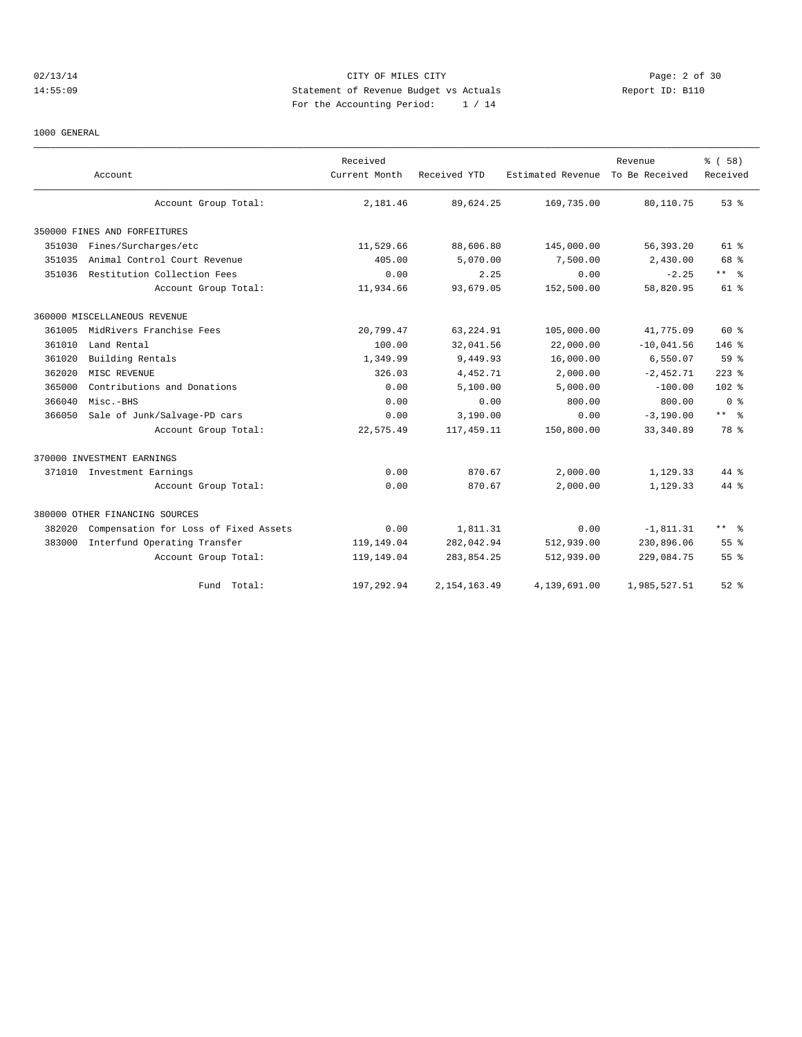## 02/13/14 Page: 2 of 30 14:55:09 Statement of Revenue Budget vs Actuals Report ID: B110 For the Accounting Period: 1 / 14

#### 1000 GENERAL

|        | Account                               | Received<br>Current Month | Received YTD   | Estimated Revenue | Revenue<br>To Be Received | % (58)<br>Received |
|--------|---------------------------------------|---------------------------|----------------|-------------------|---------------------------|--------------------|
|        | Account Group Total:                  | 2,181.46                  | 89,624.25      | 169,735.00        | 80,110.75                 | 53%                |
|        | 350000 FINES AND FORFEITURES          |                           |                |                   |                           |                    |
| 351030 | Fines/Surcharges/etc                  | 11,529.66                 | 88,606.80      | 145,000.00        | 56,393.20                 | $61$ %             |
| 351035 | Animal Control Court Revenue          | 405.00                    | 5,070.00       | 7,500.00          | 2,430.00                  | 68 %               |
| 351036 | Restitution Collection Fees           | 0.00                      | 2.25           | 0.00              | $-2.25$                   | $***$ $%$          |
|        | Account Group Total:                  | 11,934.66                 | 93,679.05      | 152,500.00        | 58,820.95                 | 61 %               |
|        | 360000 MISCELLANEOUS REVENUE          |                           |                |                   |                           |                    |
| 361005 | MidRivers Franchise Fees              | 20,799.47                 | 63, 224.91     | 105,000.00        | 41,775.09                 | 60 %               |
| 361010 | Land Rental                           | 100.00                    | 32,041.56      | 22,000.00         | $-10,041.56$              | $146$ %            |
| 361020 | Building Rentals                      | 1,349.99                  | 9,449.93       | 16,000.00         | 6,550.07                  | 59%                |
| 362020 | MISC REVENUE                          | 326.03                    | 4,452.71       | 2,000.00          | $-2,452.71$               | $223$ %            |
| 365000 | Contributions and Donations           | 0.00                      | 5,100.00       | 5,000.00          | $-100.00$                 | 102 <sub>8</sub>   |
| 366040 | Misc.-BHS                             | 0.00                      | 0.00           | 800.00            | 800.00                    | 0 <sup>8</sup>     |
| 366050 | Sale of Junk/Salvage-PD cars          | 0.00                      | 3,190.00       | 0.00              | $-3,190.00$               | $***$ 8            |
|        | Account Group Total:                  | 22,575.49                 | 117, 459.11    | 150,800.00        | 33, 340.89                | 78 %               |
|        | 370000 INVESTMENT EARNINGS            |                           |                |                   |                           |                    |
|        | 371010 Investment Earnings            | 0.00                      | 870.67         | 2,000.00          | 1,129.33                  | 44 %               |
|        | Account Group Total:                  | 0.00                      | 870.67         | 2,000.00          | 1,129.33                  | 44 %               |
|        | 380000 OTHER FINANCING SOURCES        |                           |                |                   |                           |                    |
| 382020 | Compensation for Loss of Fixed Assets | 0.00                      | 1,811.31       | 0.00              | $-1,811.31$               | ** 왕               |
| 383000 | Interfund Operating Transfer          | 119,149.04                | 282,042.94     | 512,939.00        | 230,896.06                | 55 <sup>8</sup>    |
|        | Account Group Total:                  | 119,149.04                | 283,854.25     | 512,939.00        | 229,084.75                | 55%                |
|        | Fund Total:                           | 197,292.94                | 2, 154, 163.49 | 4,139,691.00      | 1,985,527.51              | $52$ $%$           |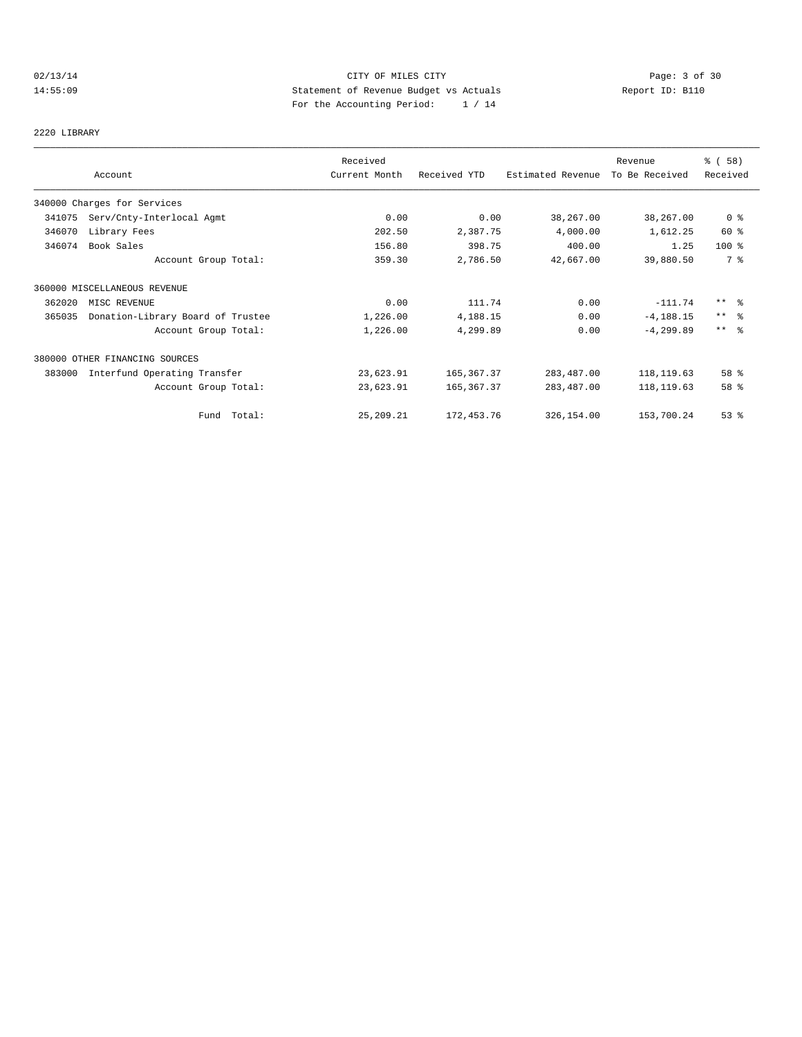## 02/13/14 Page: 3 of 30 14:55:09 Statement of Revenue Budget vs Actuals Report ID: B110 For the Accounting Period: 1 / 14

2220 LIBRARY

|        |                                   | Received      |              |                   | Revenue        | 8 ( 58 )        |
|--------|-----------------------------------|---------------|--------------|-------------------|----------------|-----------------|
|        | Account                           | Current Month | Received YTD | Estimated Revenue | To Be Received | Received        |
|        | 340000 Charges for Services       |               |              |                   |                |                 |
| 341075 | Serv/Cnty-Interlocal Agmt         | 0.00          | 0.00         | 38,267.00         | 38,267.00      | 0 <sub>8</sub>  |
| 346070 | Library Fees                      | 202.50        | 2,387.75     | 4,000.00          | 1,612.25       | 60 %            |
| 346074 | Book Sales                        | 156.80        | 398.75       | 400.00            | 1.25           | $100$ %         |
|        | Account Group Total:              | 359.30        | 2,786.50     | 42,667.00         | 39,880.50      | 7 %             |
|        | 360000 MISCELLANEOUS REVENUE      |               |              |                   |                |                 |
| 362020 | MISC REVENUE                      | 0.00          | 111.74       | 0.00              | $-111.74$      | $***$ 8         |
| 365035 | Donation-Library Board of Trustee | 1,226.00      | 4,188.15     | 0.00              | $-4, 188.15$   | $***$ $\approx$ |
|        | Account Group Total:              | 1,226.00      | 4,299.89     | 0.00              | $-4, 299.89$   | $***$ $ -$      |
|        | 380000 OTHER FINANCING SOURCES    |               |              |                   |                |                 |
| 383000 | Interfund Operating Transfer      | 23,623.91     | 165, 367. 37 | 283,487.00        | 118,119.63     | 58 %            |
|        | Account Group Total:              | 23,623.91     | 165, 367.37  | 283,487.00        | 118, 119.63    | 58 %            |
|        | Fund Total:                       | 25,209.21     | 172, 453.76  | 326,154.00        | 153,700.24     | 53%             |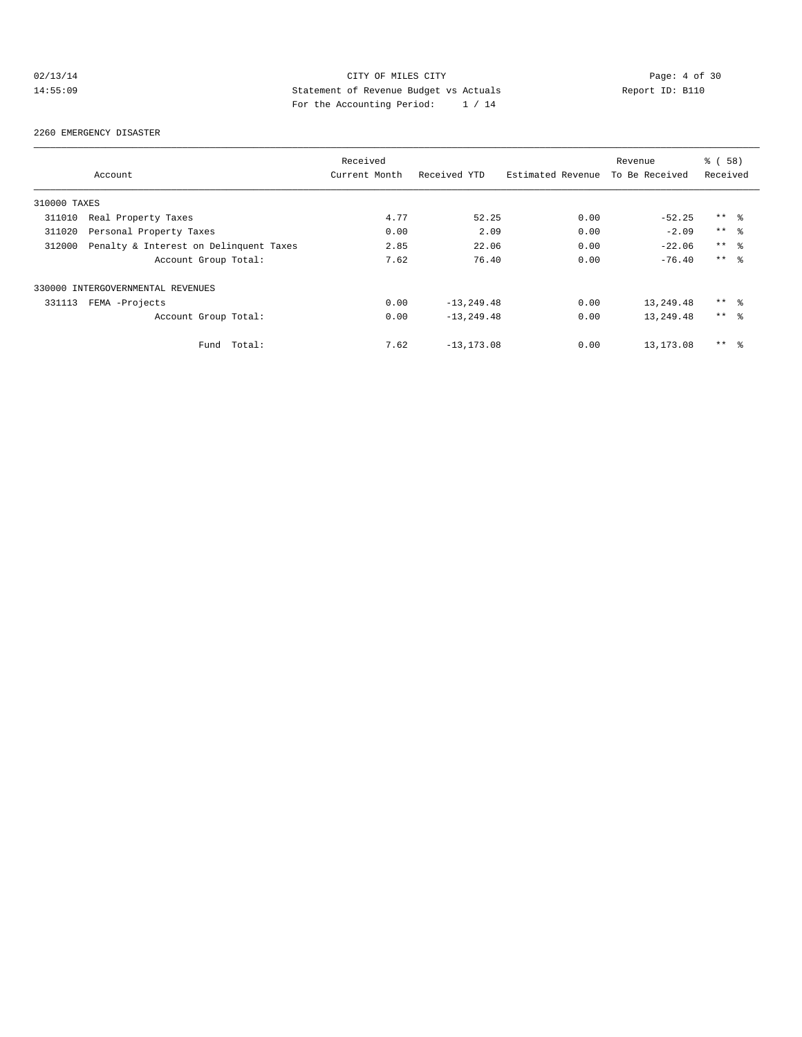## 02/13/14 CITY OF MILES CITY CITY Page: 4 of 30<br>14:55:09 Statement of Revenue Budget vs Actuals Report ID: B110<br>2011 Por the Accumulate Device: 2011 14:55:09 Statement of Revenue Budget vs Actuals Report ID: B110 For the Accounting Period: 1 / 14

#### 2260 EMERGENCY DISASTER

|              |                                        | Received      |                |                   | Revenue        | 8 ( 58 )        |
|--------------|----------------------------------------|---------------|----------------|-------------------|----------------|-----------------|
|              | Account                                | Current Month | Received YTD   | Estimated Revenue | To Be Received | Received        |
| 310000 TAXES |                                        |               |                |                   |                |                 |
| 311010       | Real Property Taxes                    | 4.77          | 52.25          | 0.00              | $-52.25$       | $***$ %         |
| 311020       | Personal Property Taxes                | 0.00          | 2.09           | 0.00              | $-2.09$        | $***$ $ -$      |
| 312000       | Penalty & Interest on Delinquent Taxes | 2.85          | 22.06          | 0.00              | $-22.06$       | $***$ %         |
|              | Account Group Total:                   | 7.62          | 76.40          | 0.00              | $-76.40$       | $***$ $\approx$ |
|              | 330000 INTERGOVERNMENTAL REVENUES      |               |                |                   |                |                 |
| 331113       | FEMA -Projects                         | 0.00          | $-13, 249.48$  | 0.00              | 13,249.48      | $***$ %         |
|              | Account Group Total:                   | 0.00          | $-13, 249.48$  | 0.00              | 13,249.48      | $***$ $ -$      |
|              | Total:<br>Fund                         | 7.62          | $-13, 173, 08$ | 0.00              | 13, 173.08     | $***$<br>- 응    |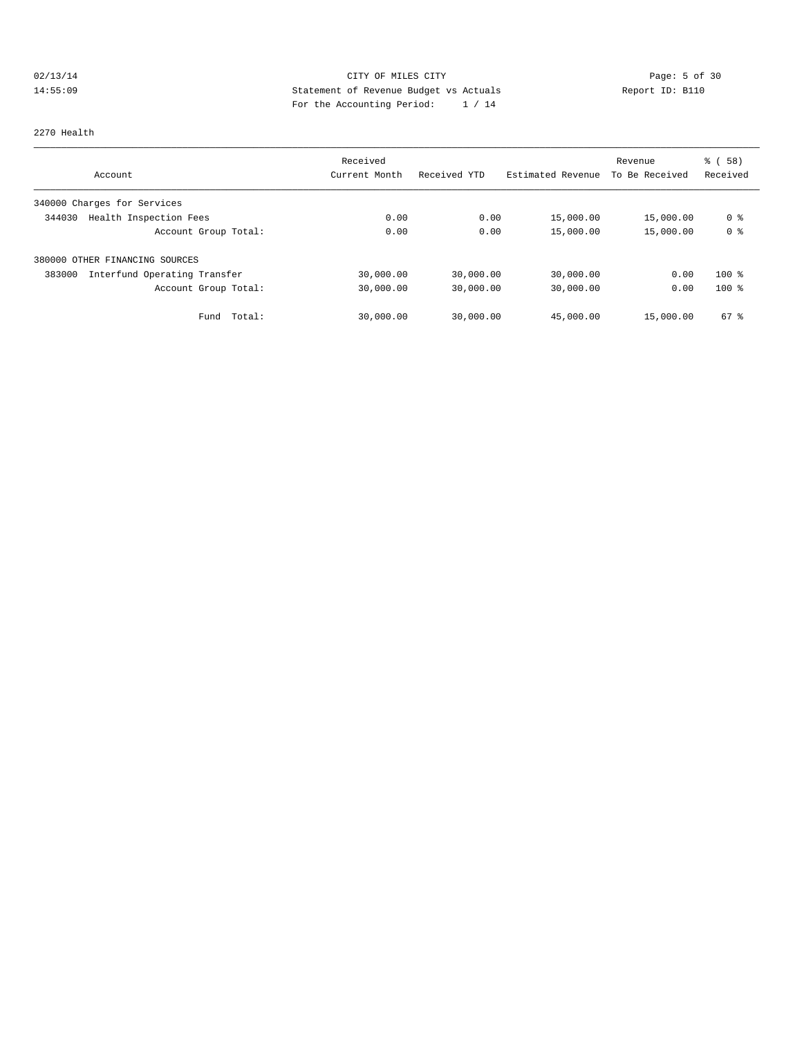## 02/13/14 Page: 5 of 30 14:55:09 Statement of Revenue Budget vs Actuals Report ID: B110<br>Report ID: B110 For the Accounting Period: 1 / 14

#### 2270 Health

|                                        | Received      |              |                   | Revenue        | % ( 58 )       |
|----------------------------------------|---------------|--------------|-------------------|----------------|----------------|
| Account                                | Current Month | Received YTD | Estimated Revenue | To Be Received | Received       |
| 340000 Charges for Services            |               |              |                   |                |                |
| Health Inspection Fees<br>344030       | 0.00          | 0.00         | 15,000.00         | 15,000.00      | 0 %            |
| Account Group Total:                   | 0.00          | 0.00         | 15,000.00         | 15,000.00      | 0 <sup>8</sup> |
| 380000 OTHER FINANCING SOURCES         |               |              |                   |                |                |
| Interfund Operating Transfer<br>383000 | 30,000.00     | 30,000.00    | 30,000.00         | 0.00           | $100*$         |
| Account Group Total:                   | 30,000.00     | 30,000.00    | 30,000.00         | 0.00           | $100*$         |
| Total:<br>Fund                         | 30,000.00     | 30,000.00    | 45,000.00         | 15,000.00      | $67$ $%$       |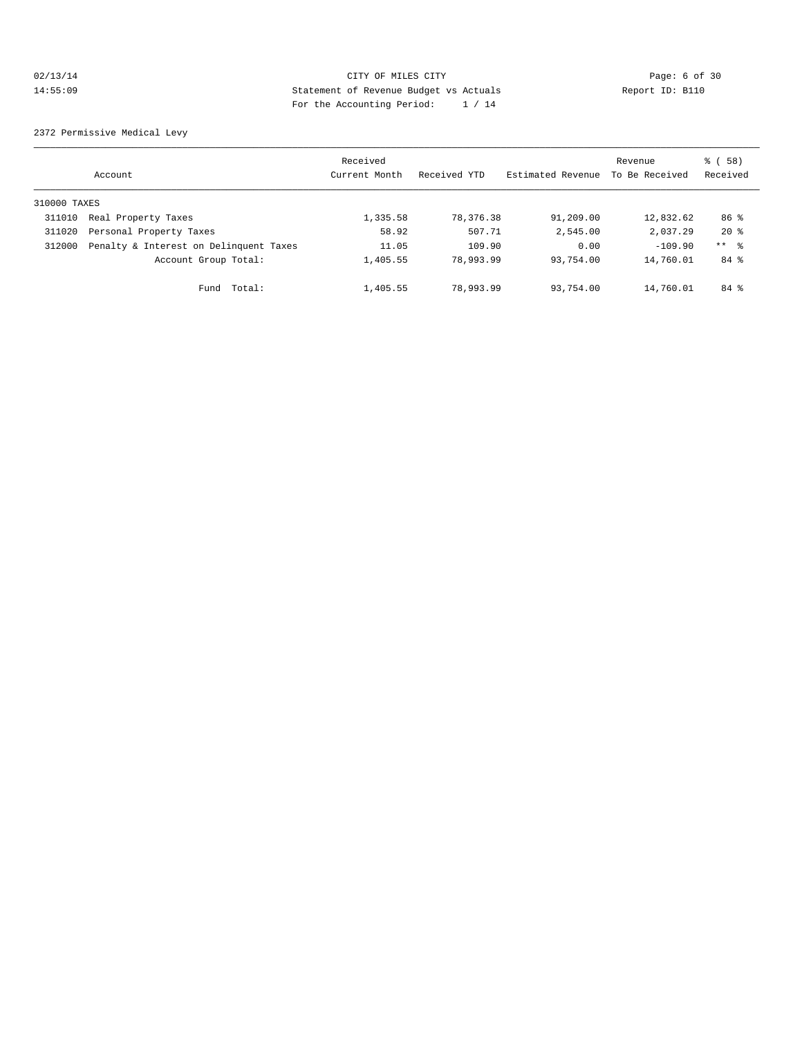## 02/13/14 Page: 6 of 30 14:55:09 Statement of Revenue Budget vs Actuals Report ID: B110 For the Accounting Period: 1 / 14

2372 Permissive Medical Levy

|              | Account                                | Received<br>Current Month | Received YTD | Estimated Revenue | Revenue<br>To Be Received | 8 ( 58 )<br>Received |
|--------------|----------------------------------------|---------------------------|--------------|-------------------|---------------------------|----------------------|
| 310000 TAXES |                                        |                           |              |                   |                           |                      |
| 311010       | Real Property Taxes                    | 1,335.58                  | 78,376.38    | 91,209.00         | 12,832.62                 | 86 %                 |
| 311020       | Personal Property Taxes                | 58.92                     | 507.71       | 2,545.00          | 2,037.29                  | $20*$                |
| 312000       | Penalty & Interest on Delinquent Taxes | 11.05                     | 109.90       | 0.00              | $-109.90$                 | $***$ $ -$           |
|              | Account Group Total:                   | 1,405.55                  | 78,993.99    | 93,754.00         | 14,760.01                 | 84 %                 |
|              | Total:<br>Fund                         | 1,405.55                  | 78,993.99    | 93,754.00         | 14,760.01                 | 84 %                 |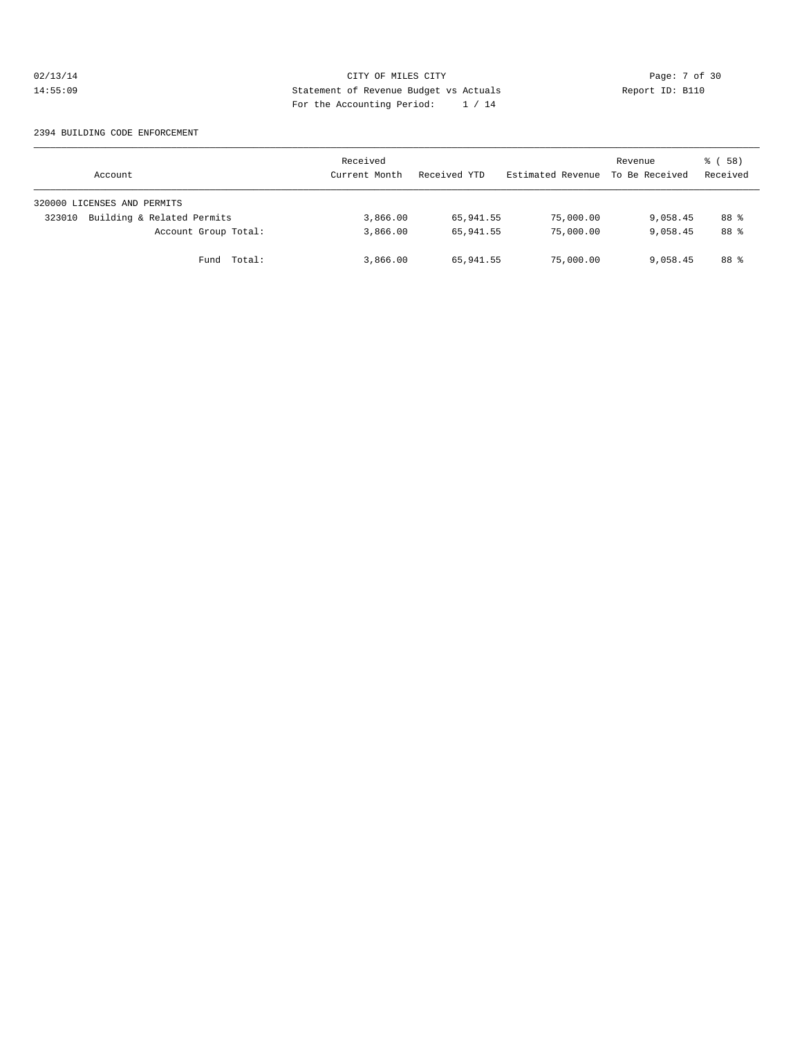## 02/13/14 CITY OF MILES CITY Page: 7 of 30<br>14:55:09 Statement of Revenue Budget vs Actuals Report ID: B110<br>Por the Accumular Device: 1, 1, 1, 14:55:09 Statement of Revenue Budget vs Actuals Report ID: B110 For the Accounting Period: 1 / 14

#### 2394 BUILDING CODE ENFORCEMENT

| Account                              | Received<br>Current Month | Received YTD | Estimated Revenue | Revenue<br>To Be Received | 8 ( 58 )<br>Received |
|--------------------------------------|---------------------------|--------------|-------------------|---------------------------|----------------------|
| 320000 LICENSES AND PERMITS          |                           |              |                   |                           |                      |
| Building & Related Permits<br>323010 | 3,866.00                  | 65,941.55    | 75,000.00         | 9,058.45                  | 88 %                 |
| Account Group Total:                 | 3,866.00                  | 65,941.55    | 75,000.00         | 9,058.45                  | 88 %                 |
| Fund Total:                          | 3,866.00                  | 65,941.55    | 75,000.00         | 9,058.45                  | 88 %                 |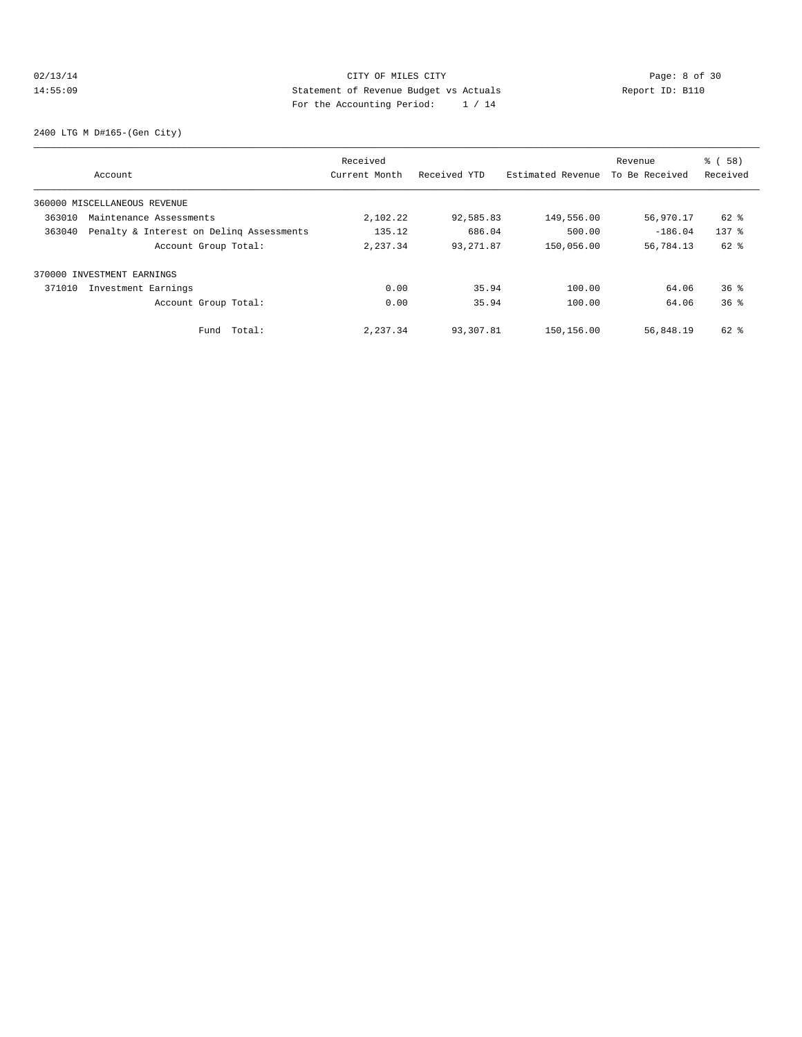## 02/13/14 CITY OF MILES CITY CHES CITY Page: 8 of 30<br>14:55:09 Statement of Revenue Budget vs Actuals Report ID: B110 14:55:09 Statement of Revenue Budget vs Actuals Report ID: B110 For the Accounting Period: 1 / 14

2400 LTG M D#165-(Gen City)

|        |                                          | Received      |              |                   | Revenue        | % ( 58 )        |
|--------|------------------------------------------|---------------|--------------|-------------------|----------------|-----------------|
|        | Account                                  | Current Month | Received YTD | Estimated Revenue | To Be Received | Received        |
|        | 360000 MISCELLANEOUS REVENUE             |               |              |                   |                |                 |
| 363010 | Maintenance Assessments                  | 2,102.22      | 92,585.83    | 149,556.00        | 56,970.17      | $62$ $%$        |
| 363040 | Penalty & Interest on Deling Assessments | 135.12        | 686.04       | 500.00            | $-186.04$      | $137$ $%$       |
|        | Account Group Total:                     | 2,237.34      | 93, 271.87   | 150,056.00        | 56,784.13      | 62 %            |
|        | 370000 INVESTMENT EARNINGS               |               |              |                   |                |                 |
| 371010 | Investment Earnings                      | 0.00          | 35.94        | 100.00            | 64.06          | $36$ $%$        |
|        | Account Group Total:                     | 0.00          | 35.94        | 100.00            | 64.06          | 36 <sup>8</sup> |
|        | Total:<br>Fund                           | 2.237.34      | 93,307.81    | 150,156.00        | 56,848.19      | $62$ $%$        |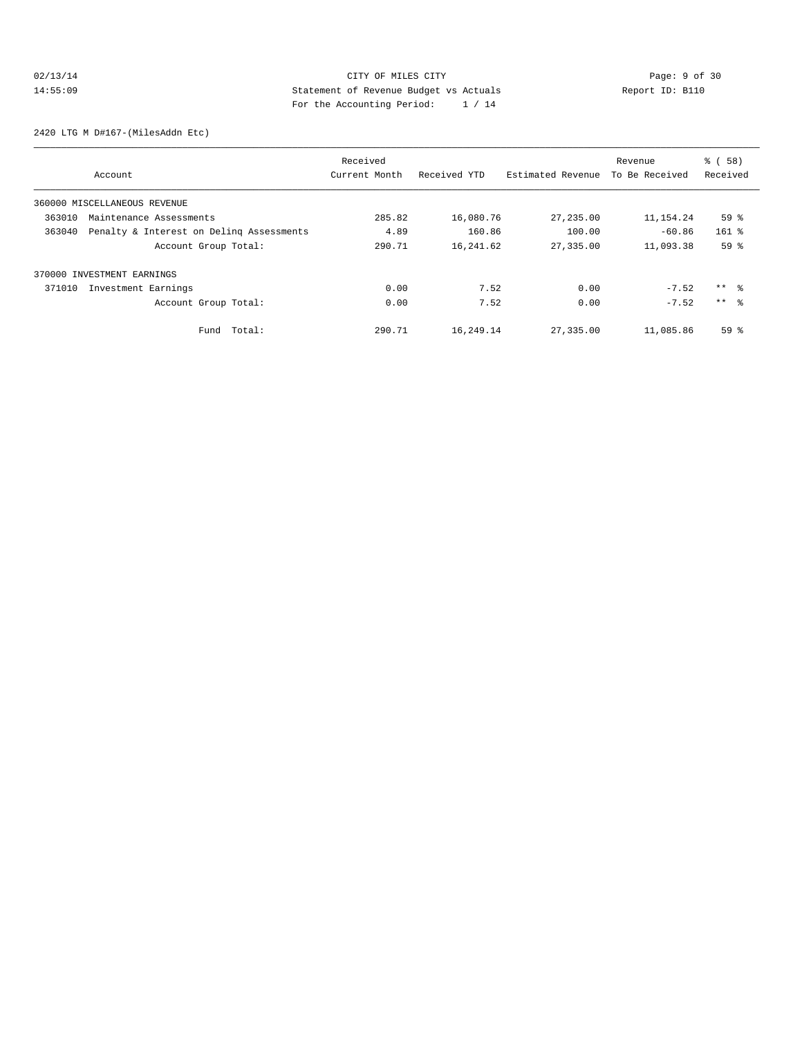## 02/13/14 Page: 9 of 30 14:55:09 Statement of Revenue Budget vs Actuals Report ID: B110 For the Accounting Period: 1 / 14

2420 LTG M D#167-(MilesAddn Etc)

|        |                                          | Received      |              |                   | Revenue        | % ( 58 )        |
|--------|------------------------------------------|---------------|--------------|-------------------|----------------|-----------------|
|        | Account                                  | Current Month | Received YTD | Estimated Revenue | To Be Received | Received        |
|        | 360000 MISCELLANEOUS REVENUE             |               |              |                   |                |                 |
| 363010 | Maintenance Assessments                  | 285.82        | 16,080.76    | 27, 235.00        | 11,154.24      | 59 <sup>°</sup> |
| 363040 | Penalty & Interest on Deling Assessments | 4.89          | 160.86       | 100.00            | $-60.86$       | $161$ %         |
|        | Account Group Total:                     | 290.71        | 16, 241.62   | 27,335.00         | 11,093.38      | 59 <sup>°</sup> |
|        | 370000 INVESTMENT EARNINGS               |               |              |                   |                |                 |
| 371010 | Investment Earnings                      | 0.00          | 7.52         | 0.00              | $-7.52$        | ** %            |
|        | Account Group Total:                     | 0.00          | 7.52         | 0.00              | $-7.52$        | $***$ $\approx$ |
|        | Total:<br>Fund                           | 290.71        | 16,249.14    | 27,335.00         | 11,085.86      | 59 <sup>°</sup> |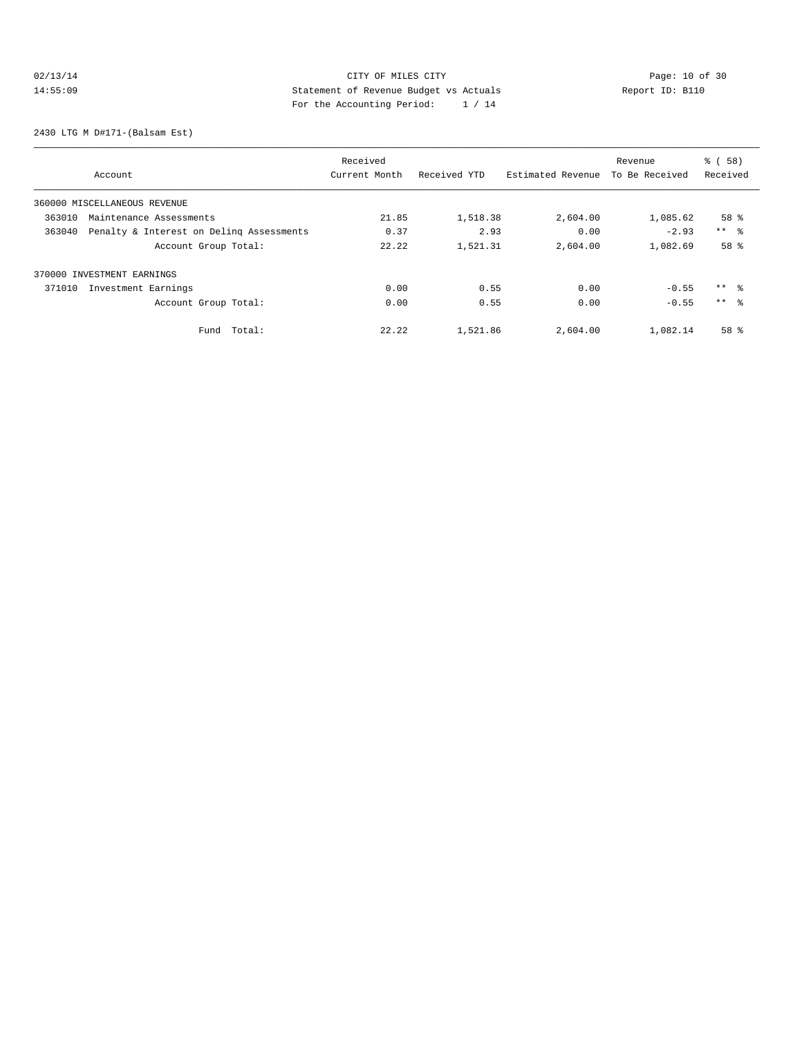## 02/13/14 Page: 10 of 30<br>14:55:09 Statement of Revenue Budget vs Actuals<br>14:55:09 Page: 12:04<br>2020 Page: 12:04<br>2020 Page: 12:14 14:55:09 Statement of Revenue Budget vs Actuals Report ID: B110 For the Accounting Period: 1 / 14

2430 LTG M D#171-(Balsam Est)

|        |                                          | Received      |              | Revenue           |                | % ( 58 )            |
|--------|------------------------------------------|---------------|--------------|-------------------|----------------|---------------------|
|        | Account                                  | Current Month | Received YTD | Estimated Revenue | To Be Received | Received            |
|        | 360000 MISCELLANEOUS REVENUE             |               |              |                   |                |                     |
| 363010 | Maintenance Assessments                  | 21.85         | 1,518.38     | 2,604.00          | 1,085.62       | 58 <sup>8</sup>     |
| 363040 | Penalty & Interest on Deling Assessments | 0.37          | 2.93         | 0.00              | $-2.93$        | $***$ $\frac{6}{5}$ |
|        | Account Group Total:                     | 22.22         | 1,521.31     | 2,604.00          | 1,082.69       | 58 %                |
|        | 370000 INVESTMENT EARNINGS               |               |              |                   |                |                     |
| 371010 | Investment Earnings                      | 0.00          | 0.55         | 0.00              | $-0.55$        | $***$ $\approx$     |
|        | Account Group Total:                     | 0.00          | 0.55         | 0.00              | $-0.55$        | $***$ $\approx$     |
|        | Total:<br>Fund                           | 22.22         | 1,521.86     | 2,604.00          | 1,082.14       | 58 %                |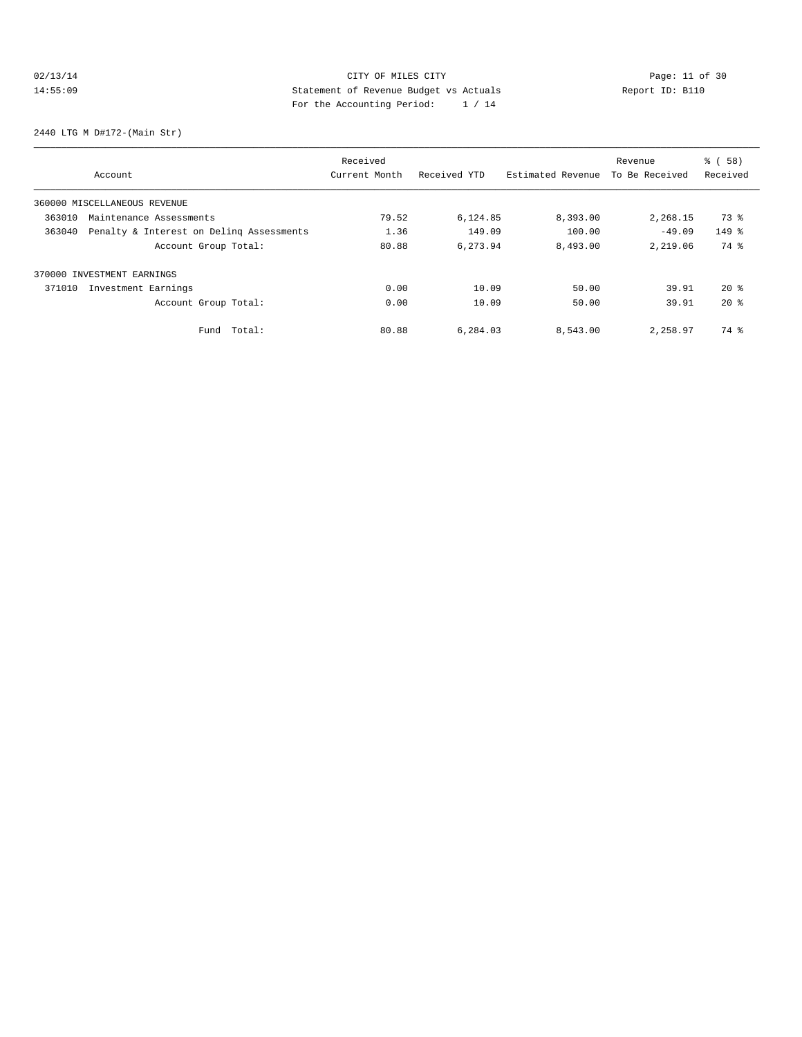## 02/13/14 Page: 11 of 30 14:55:09 Statement of Revenue Budget vs Actuals Report ID: B110<br>14:55:09 Report ID: B110 For the Accounting Period: 1 / 14

2440 LTG M D#172-(Main Str)

|        |                                          | Received      |              |                   | Revenue        | % ( 58 ) |
|--------|------------------------------------------|---------------|--------------|-------------------|----------------|----------|
|        | Account                                  | Current Month | Received YTD | Estimated Revenue | To Be Received | Received |
|        | 360000 MISCELLANEOUS REVENUE             |               |              |                   |                |          |
| 363010 | Maintenance Assessments                  | 79.52         | 6,124.85     | 8,393.00          | 2,268.15       | 73 %     |
| 363040 | Penalty & Interest on Deling Assessments | 1.36          | 149.09       | 100.00            | $-49.09$       | $149$ %  |
|        | Account Group Total:                     | 80.88         | 6.273.94     | 8,493.00          | 2,219.06       | 74 %     |
|        | 370000 INVESTMENT EARNINGS               |               |              |                   |                |          |
| 371010 | Investment Earnings                      | 0.00          | 10.09        | 50.00             | 39.91          | $20*$    |
|        | Account Group Total:                     | 0.00          | 10.09        | 50.00             | 39.91          | $20*$    |
|        | Total:<br>Fund                           | 80.88         | 6,284.03     | 8,543.00          | 2,258.97       | 74 %     |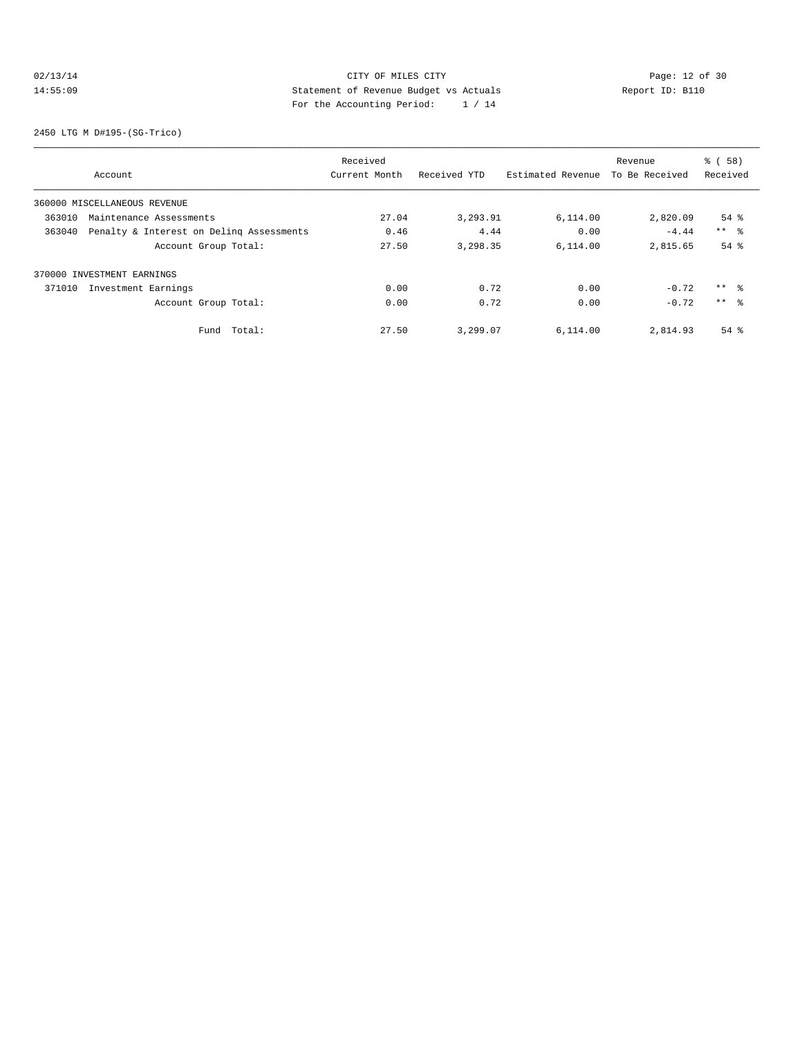## 02/13/14 Page: 12 of 30<br>14:55:09 Statement of Revenue Budget vs Actuals<br>14:55:09 Partha Accounting Papied: 14:14 14:55:09 Statement of Revenue Budget vs Actuals Report ID: B110 For the Accounting Period: 1 / 14

2450 LTG M D#195-(SG-Trico)

|        |                                          | Received      |              |                   | Revenue        | % ( 58 )            |
|--------|------------------------------------------|---------------|--------------|-------------------|----------------|---------------------|
|        | Account                                  | Current Month | Received YTD | Estimated Revenue | To Be Received | Received            |
|        | 360000 MISCELLANEOUS REVENUE             |               |              |                   |                |                     |
| 363010 | Maintenance Assessments                  | 27.04         | 3,293.91     | 6,114.00          | 2,820.09       | $54$ $%$            |
| 363040 | Penalty & Interest on Deling Assessments | 0.46          | 4.44         | 0.00              | $-4.44$        | $***$ $\frac{6}{5}$ |
|        | Account Group Total:                     | 27.50         | 3,298.35     | 6,114.00          | 2,815.65       | $54$ $%$            |
|        | 370000 INVESTMENT EARNINGS               |               |              |                   |                |                     |
| 371010 | Investment Earnings                      | 0.00          | 0.72         | 0.00              | $-0.72$        | $***$ $\approx$     |
|        | Account Group Total:                     | 0.00          | 0.72         | 0.00              | $-0.72$        | $***$ $\approx$     |
|        | Fund Total:                              | 27.50         | 3,299.07     | 6.114.00          | 2,814.93       | $54$ $%$            |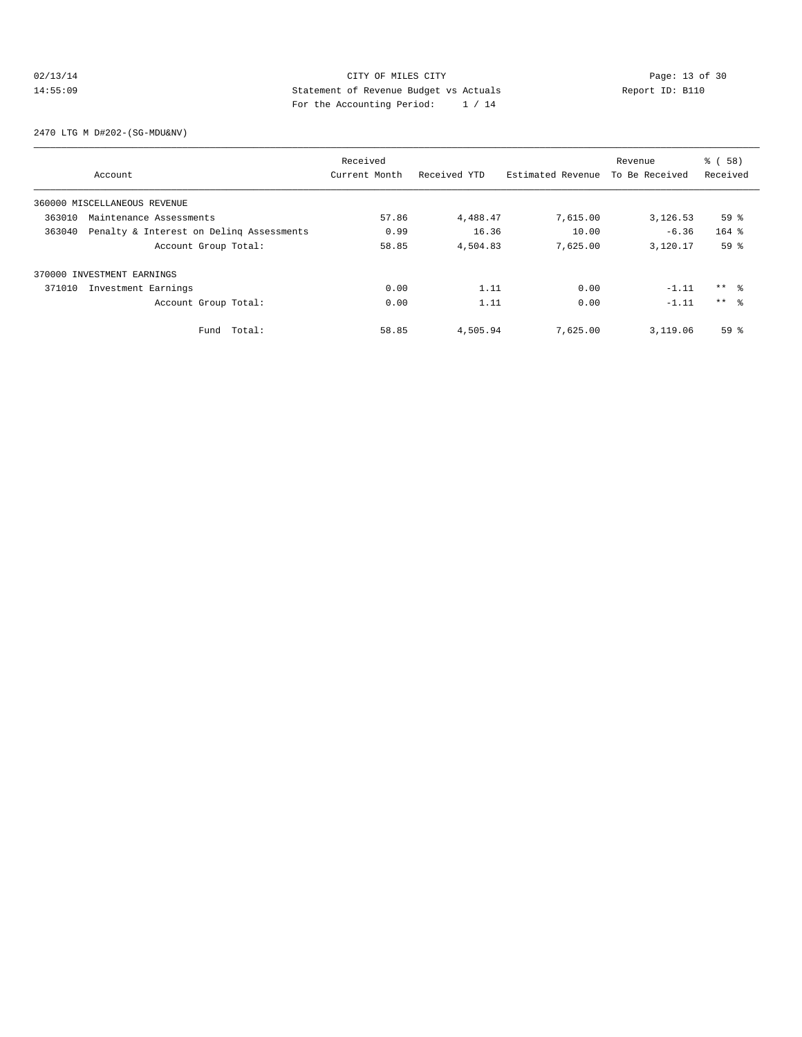## 02/13/14 Page: 13 of 30 14:55:09 Statement of Revenue Budget vs Actuals Report ID: B110<br>Report ID: B110 For the Accounting Period: 1 / 14

2470 LTG M D#202-(SG-MDU&NV)

|        |                                          | Received      |              |                   | Revenue        | % ( 58 )        |
|--------|------------------------------------------|---------------|--------------|-------------------|----------------|-----------------|
|        | Account                                  | Current Month | Received YTD | Estimated Revenue | To Be Received | Received        |
|        | 360000 MISCELLANEOUS REVENUE             |               |              |                   |                |                 |
| 363010 | Maintenance Assessments                  | 57.86         | 4,488.47     | 7,615.00          | 3,126.53       | 59%             |
| 363040 | Penalty & Interest on Deling Assessments | 0.99          | 16.36        | 10.00             | $-6.36$        | $164$ %         |
|        | Account Group Total:                     | 58.85         | 4,504.83     | 7,625.00          | 3,120.17       | 59 <sup>8</sup> |
|        | 370000 INVESTMENT EARNINGS               |               |              |                   |                |                 |
| 371010 | Investment Earnings                      | 0.00          | 1.11         | 0.00              | $-1.11$        | $***$ $\approx$ |
|        | Account Group Total:                     | 0.00          | 1.11         | 0.00              | $-1.11$        | $***$ $\approx$ |
|        | Total:<br>Fund                           | 58.85         | 4,505.94     | 7,625.00          | 3,119.06       | 59%             |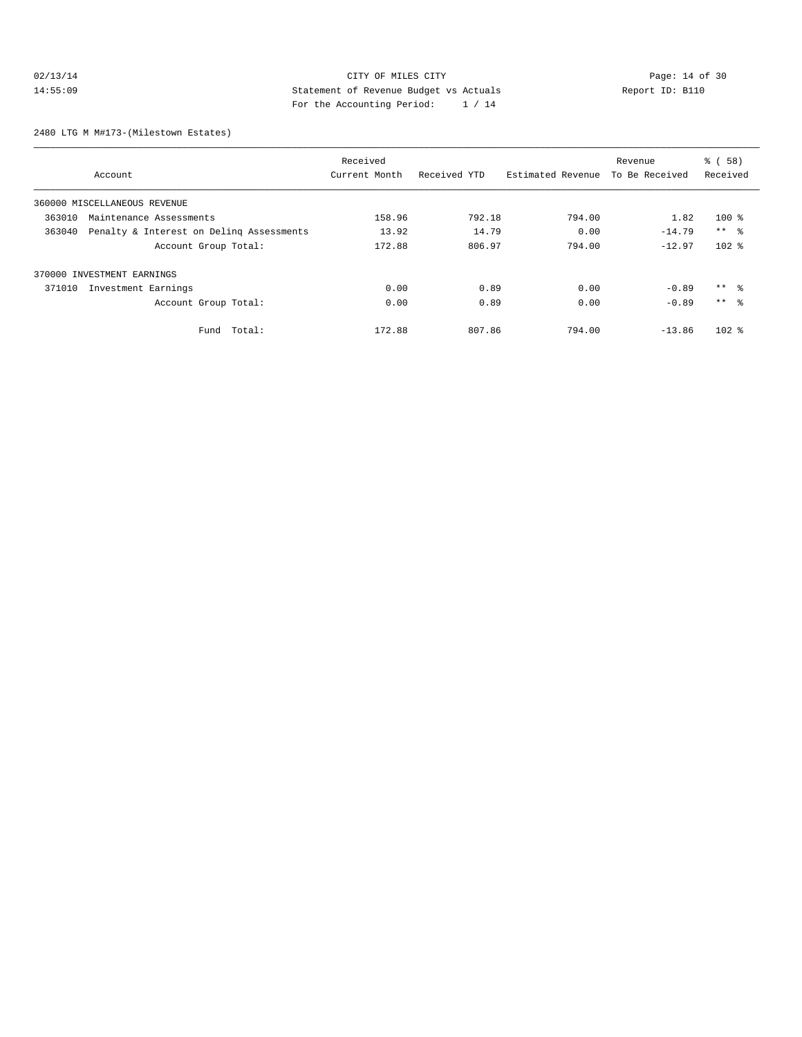## 02/13/14 Page: 14 of 30 14:55:09 Statement of Revenue Budget vs Actuals Report ID: B110 For the Accounting Period: 1 / 14

2480 LTG M M#173-(Milestown Estates)

|                                                    | Received      |              |                   | Revenue        | % ( 58 )        |
|----------------------------------------------------|---------------|--------------|-------------------|----------------|-----------------|
| Account                                            | Current Month | Received YTD | Estimated Revenue | To Be Received | Received        |
| 360000 MISCELLANEOUS REVENUE                       |               |              |                   |                |                 |
| 363010<br>Maintenance Assessments                  | 158.96        | 792.18       | 794.00            | 1.82           | $100$ %         |
| Penalty & Interest on Deling Assessments<br>363040 | 13.92         | 14.79        | 0.00              | $-14.79$       | $***$ %         |
| Account Group Total:                               | 172.88        | 806.97       | 794.00            | $-12.97$       | $102$ %         |
| 370000 INVESTMENT EARNINGS                         |               |              |                   |                |                 |
| 371010<br>Investment Earnings                      | 0.00          | 0.89         | 0.00              | $-0.89$        | $***$ %         |
| Account Group Total:                               | 0.00          | 0.89         | 0.00              | $-0.89$        | $***$ $\approx$ |
| Total:<br>Fund                                     | 172.88        | 807.86       | 794.00            | $-13.86$       | $102$ %         |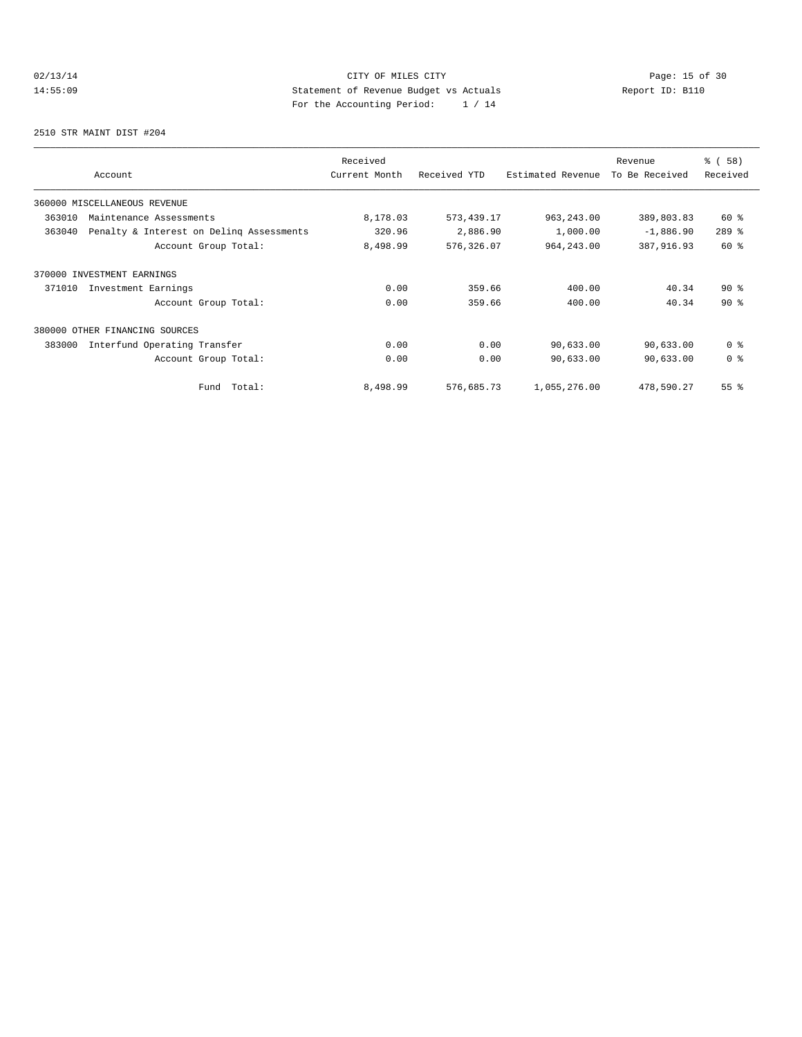## 02/13/14 Page: 15 of 30<br>14:55:09 Statement of Revenue Budget vs Actuals<br>14:55:09 Page: 15 of 30<br>2003 Page: the Accounting Davisd: 14:14 14:55:09 Statement of Revenue Budget vs Actuals Report ID: B110 For the Accounting Period: 1 / 14

2510 STR MAINT DIST #204

| Account                                            | Received<br>Current Month | Received YTD | Estimated Revenue | Revenue<br>To Be Received | 8 ( 58 )<br>Received |
|----------------------------------------------------|---------------------------|--------------|-------------------|---------------------------|----------------------|
| 360000 MISCELLANEOUS REVENUE                       |                           |              |                   |                           |                      |
| 363010<br>Maintenance Assessments                  | 8,178.03                  | 573, 439.17  | 963, 243.00       | 389,803.83                | $60*$                |
| Penalty & Interest on Deling Assessments<br>363040 | 320.96                    | 2,886.90     | 1,000.00          | $-1,886.90$               | $289$ %              |
| Account Group Total:                               | 8,498.99                  | 576,326.07   | 964, 243.00       | 387,916.93                | 60 %                 |
| 370000 INVESTMENT EARNINGS                         |                           |              |                   |                           |                      |
| 371010<br>Investment Earnings                      | 0.00                      | 359.66       | 400.00            | 40.34                     | $90*$                |
| Account Group Total:                               | 0.00                      | 359.66       | 400.00            | 40.34                     | $90*$                |
| 380000 OTHER FINANCING SOURCES                     |                           |              |                   |                           |                      |
| 383000<br>Interfund Operating Transfer             | 0.00                      | 0.00         | 90,633.00         | 90,633.00                 | 0 <sup>8</sup>       |
| Account Group Total:                               | 0.00                      | 0.00         | 90,633.00         | 90,633.00                 | 0 <sup>8</sup>       |
| Total:<br>Fund                                     | 8,498.99                  | 576,685.73   | 1,055,276.00      | 478,590.27                | $55$ $%$             |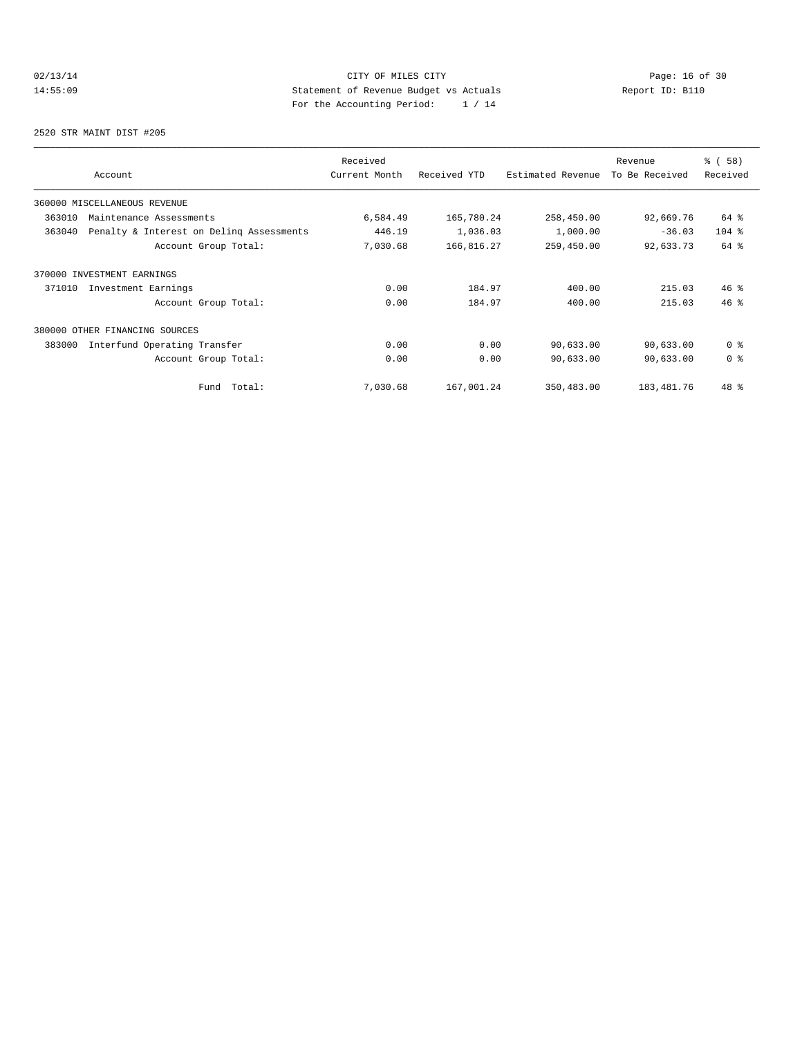## 02/13/14 Page: 16 of 30 14:55:09 Statement of Revenue Budget vs Actuals Report ID: B110 For the Accounting Period: 1 / 14

2520 STR MAINT DIST #205

| Account                                            | Received<br>Current Month | Received YTD | Estimated Revenue | Revenue<br>To Be Received | 8 ( 58 )<br>Received |
|----------------------------------------------------|---------------------------|--------------|-------------------|---------------------------|----------------------|
| 360000 MISCELLANEOUS REVENUE                       |                           |              |                   |                           |                      |
| 363010<br>Maintenance Assessments                  | 6,584.49                  | 165,780.24   | 258,450.00        | 92,669.76                 | 64 %                 |
| 363040<br>Penalty & Interest on Deling Assessments | 446.19                    | 1,036.03     | 1,000.00          | $-36.03$                  | $104$ %              |
| Account Group Total:                               | 7,030.68                  | 166,816.27   | 259,450.00        | 92,633.73                 | 64 %                 |
| 370000 INVESTMENT EARNINGS                         |                           |              |                   |                           |                      |
| 371010<br>Investment Earnings                      | 0.00                      | 184.97       | 400.00            | 215.03                    | 46%                  |
| Account Group Total:                               | 0.00                      | 184.97       | 400.00            | 215.03                    | 46%                  |
| 380000 OTHER FINANCING SOURCES                     |                           |              |                   |                           |                      |
| 383000<br>Interfund Operating Transfer             | 0.00                      | 0.00         | 90,633.00         | 90,633.00                 | 0 <sup>8</sup>       |
| Account Group Total:                               | 0.00                      | 0.00         | 90,633.00         | 90,633.00                 | 0 <sup>8</sup>       |
| Fund Total:                                        | 7,030.68                  | 167,001.24   | 350,483.00        | 183, 481. 76              | 48 %                 |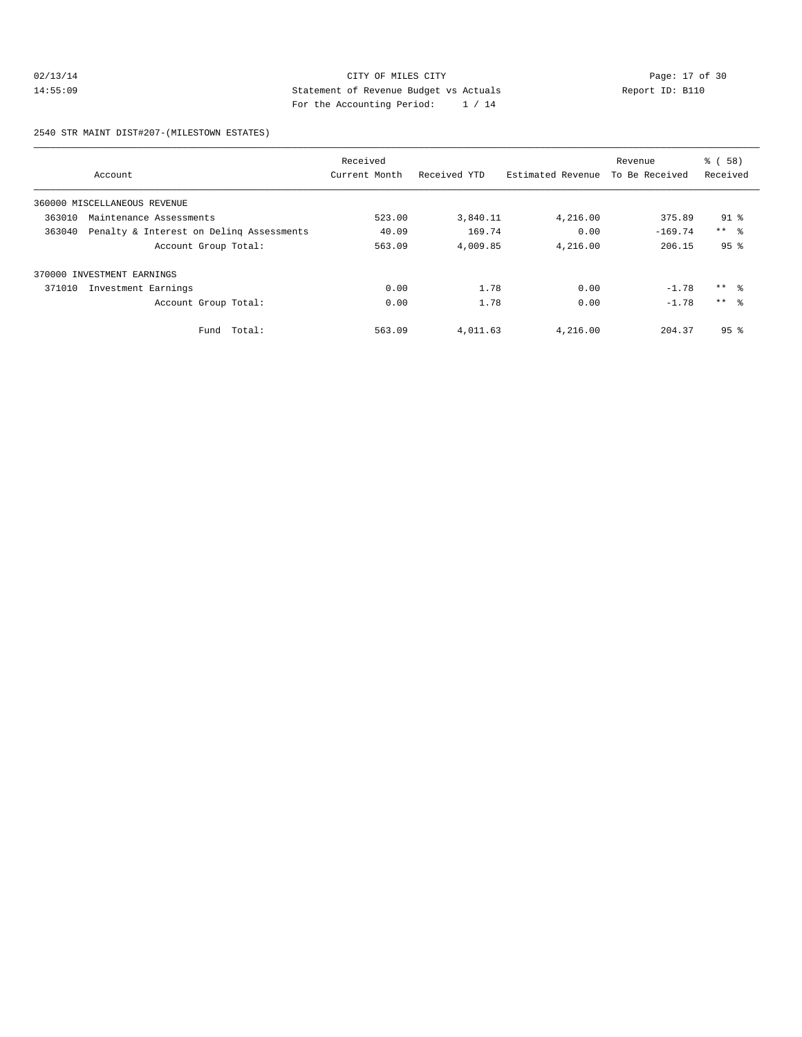## 02/13/14 Page: 17 of 30<br>14:55:09 Statement of Revenue Budget vs Actuals<br>20 Perside Page: 19 Of 20 Perside Page: 19 Of 20 Perside Page: 19 Of 20 Perside Page: 19 Of 20 Perside Page: 1 14:55:09 Statement of Revenue Budget vs Actuals Report ID: B110 For the Accounting Period: 1 / 14

2540 STR MAINT DIST#207-(MILESTOWN ESTATES)

|        |                                          | Received      |              |                   | Revenue        | % ( 58 )        |
|--------|------------------------------------------|---------------|--------------|-------------------|----------------|-----------------|
|        | Account                                  | Current Month | Received YTD | Estimated Revenue | To Be Received | Received        |
|        | 360000 MISCELLANEOUS REVENUE             |               |              |                   |                |                 |
| 363010 | Maintenance Assessments                  | 523.00        | 3,840.11     | 4,216.00          | 375.89         | $91$ %          |
| 363040 | Penalty & Interest on Deling Assessments | 40.09         | 169.74       | 0.00              | $-169.74$      | $***$ $ -$      |
|        | Account Group Total:                     | 563.09        | 4,009.85     | 4,216.00          | 206.15         | 95 <sup>8</sup> |
|        | 370000 INVESTMENT EARNINGS               |               |              |                   |                |                 |
| 371010 | Investment Earnings                      | 0.00          | 1.78         | 0.00              | $-1.78$        | $***$ $\approx$ |
|        | Account Group Total:                     | 0.00          | 1.78         | 0.00              | $-1.78$        | $***$ $\approx$ |
|        | Fund Total:                              | 563.09        | 4,011.63     | 4,216.00          | 204.37         | 95 <sup>8</sup> |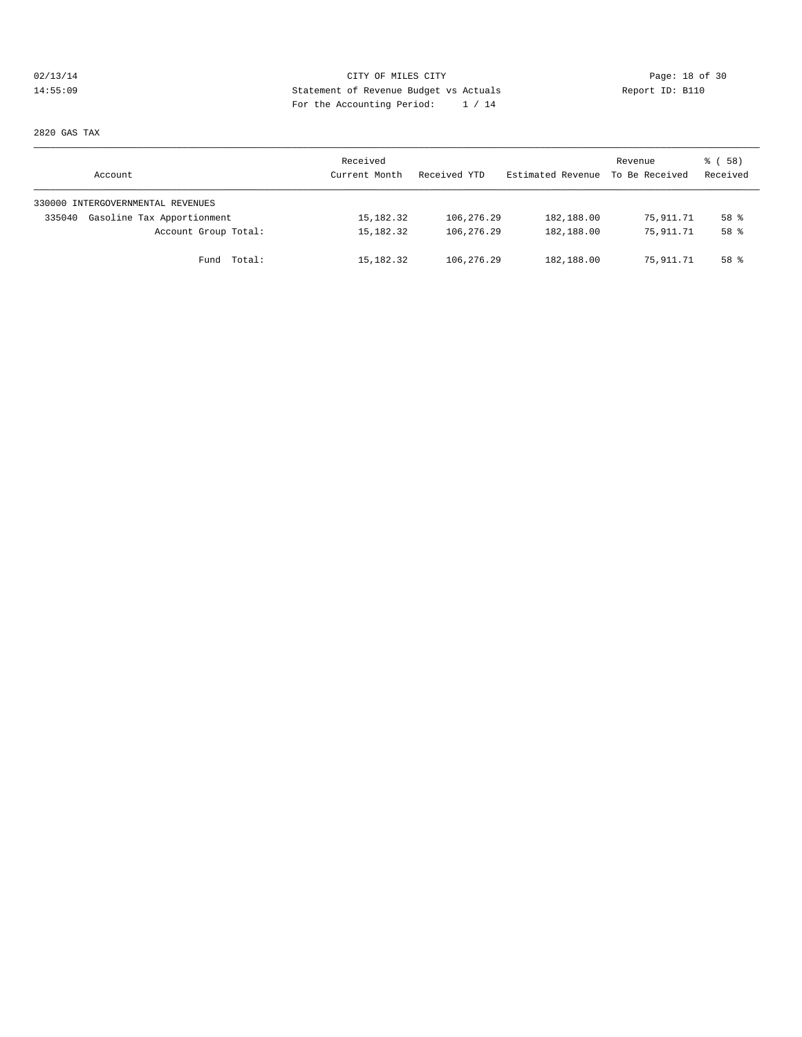## 02/13/14 Page: 18 of 30 14:55:09 Statement of Revenue Budget vs Actuals Report ID: B110 For the Accounting Period: 1 / 14

2820 GAS TAX

| Account                              | Received<br>Current Month | Received YTD | Estimated Revenue | Revenue<br>To Be Received | 8 ( 58 )<br>Received |
|--------------------------------------|---------------------------|--------------|-------------------|---------------------------|----------------------|
| 330000 INTERGOVERNMENTAL REVENUES    |                           |              |                   |                           |                      |
| Gasoline Tax Apportionment<br>335040 | 15,182.32                 | 106,276.29   | 182,188.00        | 75,911.71                 | 58 %                 |
| Account Group Total:                 | 15,182.32                 | 106,276.29   | 182,188.00        | 75,911.71                 | 58 %                 |
| Fund Total:                          | 15,182.32                 | 106,276.29   | 182,188.00        | 75,911.71                 | 58 %                 |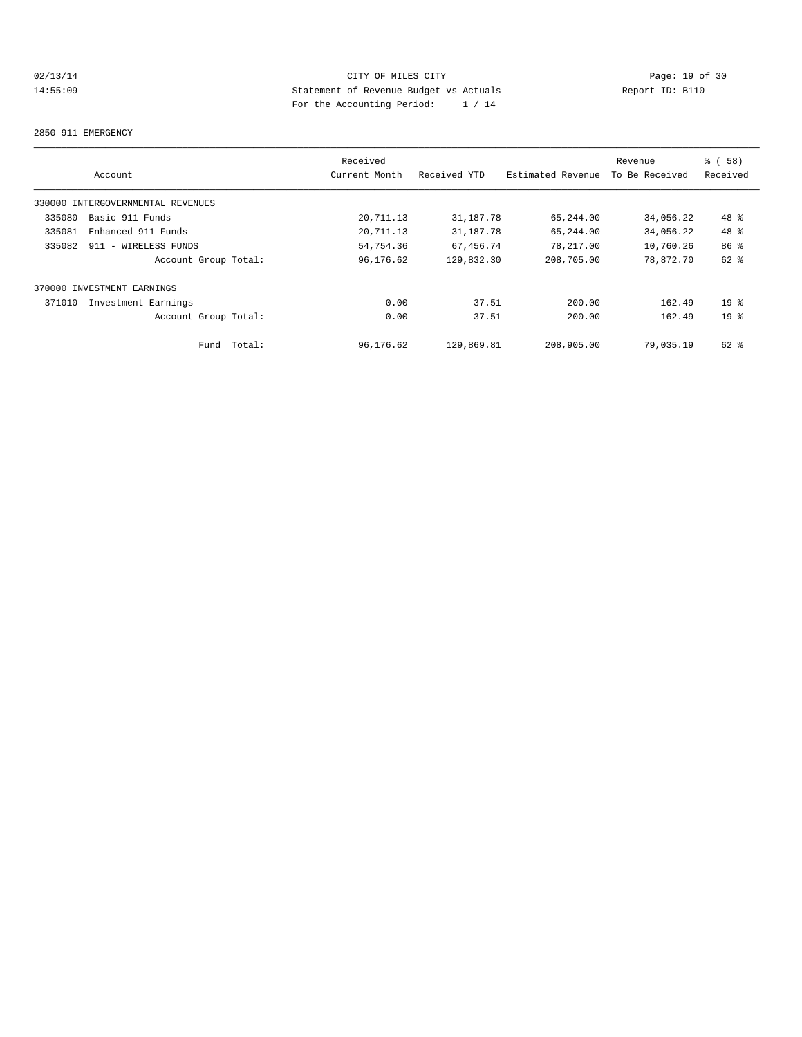## 02/13/14 Page: 19 of 30<br>14:55:09 Statement of Revenue Budget vs Actuals<br>14:55:09 Page: 19 of 30<br>14:55:09 Page: 15:20 14:55:09 Statement of Revenue Budget vs Actuals Report ID: B110 For the Accounting Period: 1 / 14

#### 2850 911 EMERGENCY

|        |                                   |        | Received      |              |                   | Revenue        | 8 ( 58 )        |
|--------|-----------------------------------|--------|---------------|--------------|-------------------|----------------|-----------------|
|        | Account                           |        | Current Month | Received YTD | Estimated Revenue | To Be Received | Received        |
|        | 330000 INTERGOVERNMENTAL REVENUES |        |               |              |                   |                |                 |
| 335080 | Basic 911 Funds                   |        | 20,711.13     | 31,187.78    | 65,244.00         | 34,056.22      | 48 %            |
| 335081 | Enhanced 911 Funds                |        | 20,711.13     | 31,187.78    | 65,244.00         | 34,056.22      | 48 %            |
| 335082 | 911 - WIRELESS FUNDS              |        | 54,754.36     | 67,456.74    | 78,217.00         | 10,760.26      | 86 %            |
|        | Account Group Total:              |        | 96,176.62     | 129,832.30   | 208,705.00        | 78,872.70      | 62 %            |
|        | 370000 INVESTMENT EARNINGS        |        |               |              |                   |                |                 |
| 371010 | Investment Earnings               |        | 0.00          | 37.51        | 200.00            | 162.49         | 19 <sup>°</sup> |
|        | Account Group Total:              |        | 0.00          | 37.51        | 200.00            | 162.49         | 19 <sup>8</sup> |
|        | Fund                              | Total: | 96,176.62     | 129,869.81   | 208,905.00        | 79,035.19      | $62$ $%$        |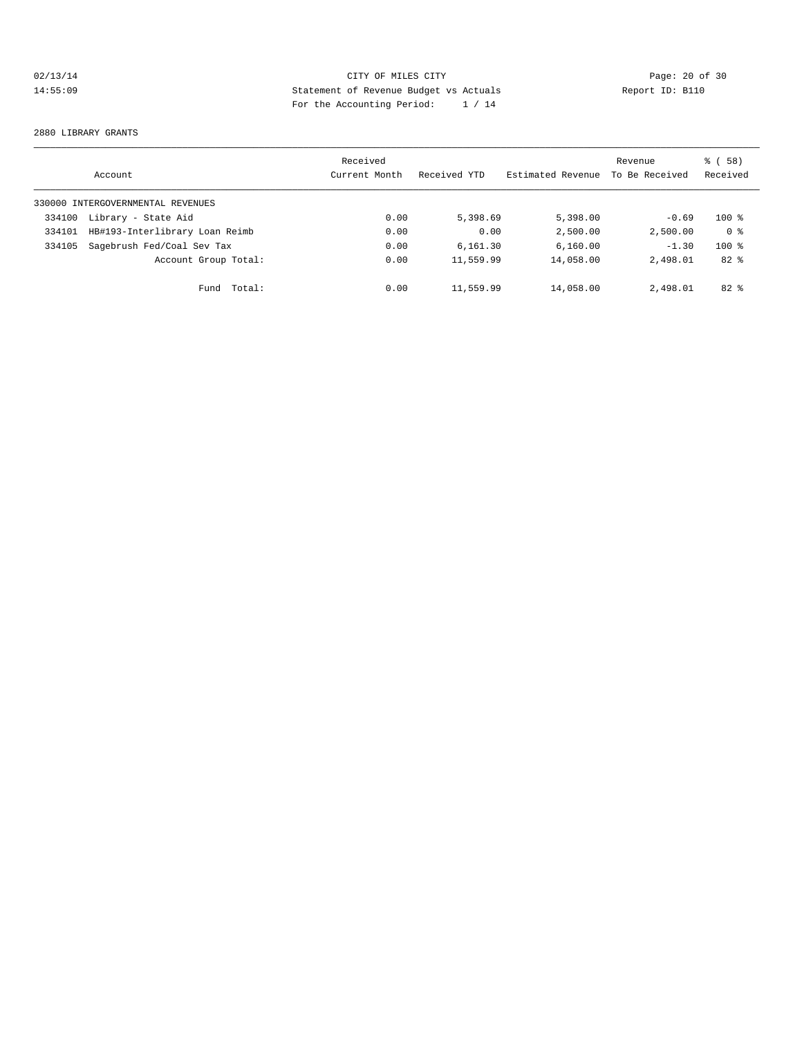## 02/13/14 Page: 20 of 30 14:55:09 Statement of Revenue Budget vs Actuals Report ID: B110 For the Accounting Period: 1 / 14

#### 2880 LIBRARY GRANTS

|        | Account                           | Received<br>Current Month | Received YTD | Estimated Revenue | Revenue<br>To Be Received | % ( 58 )<br>Received |
|--------|-----------------------------------|---------------------------|--------------|-------------------|---------------------------|----------------------|
|        | 330000 INTERGOVERNMENTAL REVENUES |                           |              |                   |                           |                      |
| 334100 | Library - State Aid               | 0.00                      | 5,398.69     | 5,398.00          | $-0.69$                   | $100*$               |
| 334101 | HB#193-Interlibrary Loan Reimb    | 0.00                      | 0.00         | 2,500.00          | 2,500.00                  | 0 <sup>8</sup>       |
| 334105 | Sagebrush Fed/Coal Sev Tax        | 0.00                      | 6.161.30     | 6,160.00          | $-1.30$                   | $100*$               |
|        | Account Group Total:              | 0.00                      | 11,559.99    | 14,058.00         | 2,498.01                  | $82*$                |
|        | Total:<br>Fund                    | 0.00                      | 11,559.99    | 14,058.00         | 2,498.01                  | $82*$                |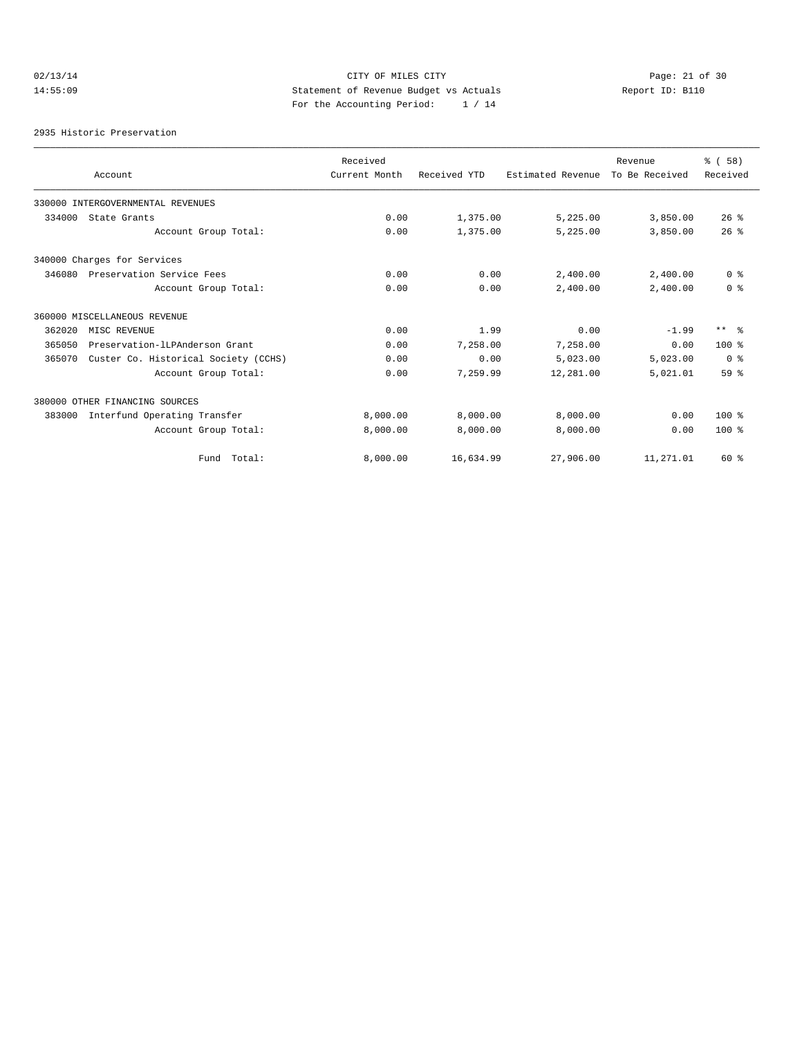## 02/13/14 Page: 21 of 30 14:55:09 Statement of Revenue Budget vs Actuals Report ID: B110 For the Accounting Period: 1 / 14

2935 Historic Preservation

|        |                                      | Received      |              |                   | Revenue        | % (58)          |
|--------|--------------------------------------|---------------|--------------|-------------------|----------------|-----------------|
|        | Account                              | Current Month | Received YTD | Estimated Revenue | To Be Received | Received        |
|        | 330000 INTERGOVERNMENTAL REVENUES    |               |              |                   |                |                 |
| 334000 | State Grants                         | 0.00          | 1,375.00     | 5,225.00          | 3,850.00       | $26$ %          |
|        | Account Group Total:                 | 0.00          | 1,375.00     | 5,225.00          | 3,850.00       | 26%             |
|        | 340000 Charges for Services          |               |              |                   |                |                 |
| 346080 | Preservation Service Fees            | 0.00          | 0.00         | 2,400.00          | 2,400.00       | 0 <sup>8</sup>  |
|        | Account Group Total:                 | 0.00          | 0.00         | 2,400.00          | 2,400.00       | 0 <sup>8</sup>  |
|        | 360000 MISCELLANEOUS REVENUE         |               |              |                   |                |                 |
| 362020 | MISC REVENUE                         | 0.00          | 1.99         | 0.00              | $-1.99$        | $***$ $ -$      |
| 365050 | Preservation-ILPAnderson Grant       | 0.00          | 7,258.00     | 7,258.00          | 0.00           | $100*$          |
| 365070 | Custer Co. Historical Society (CCHS) | 0.00          | 0.00         | 5,023.00          | 5,023.00       | 0 <sup>8</sup>  |
|        | Account Group Total:                 | 0.00          | 7,259.99     | 12,281.00         | 5,021.01       | 59 <sup>8</sup> |
|        | 380000 OTHER FINANCING SOURCES       |               |              |                   |                |                 |
| 383000 | Interfund Operating Transfer         | 8,000.00      | 8,000.00     | 8,000.00          | 0.00           | $100*$          |
|        | Account Group Total:                 | 8,000.00      | 8,000.00     | 8,000.00          | 0.00           | $100*$          |
|        | Fund Total:                          | 8,000.00      | 16,634.99    | 27,906.00         | 11,271.01      | 60 %            |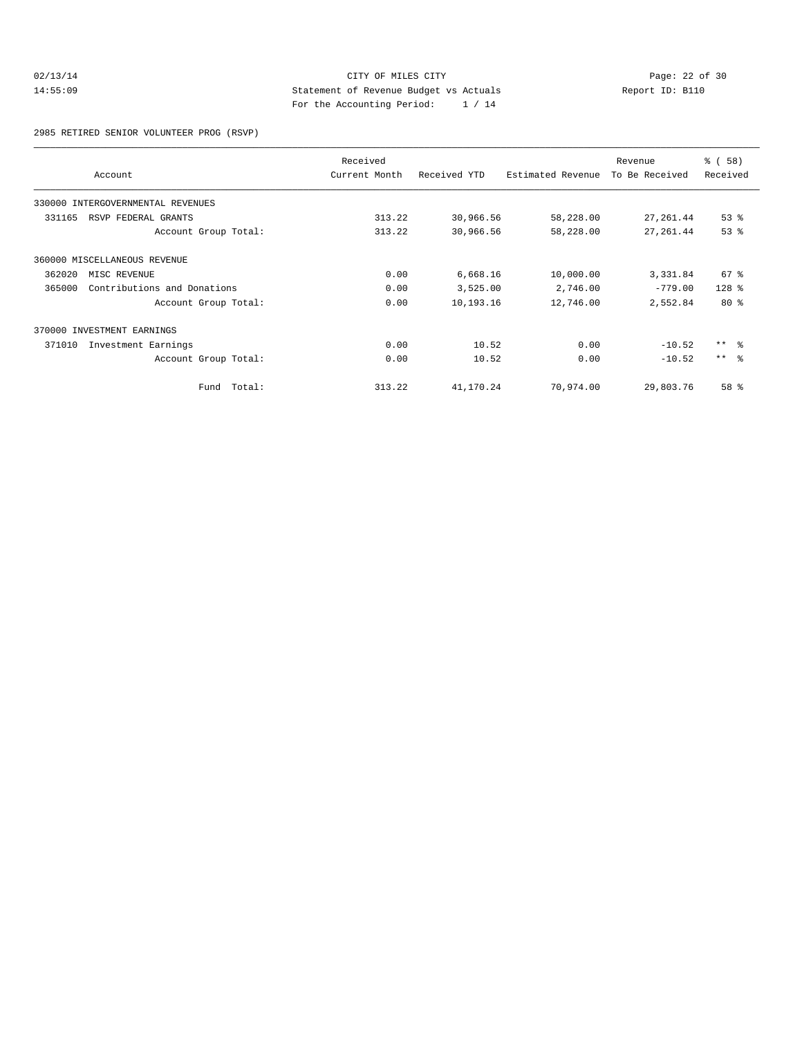## 02/13/14 Page: 22 of 30<br>14:55:09 Statement of Revenue Budget vs Actuals<br>14:55:09 Page: 22 of 30<br>14:55:09 Page: 22 of 30<br>20 Page: 22 of 30 14:55:09 Statement of Revenue Budget vs Actuals Report ID: B110 For the Accounting Period: 1 / 14

2985 RETIRED SENIOR VOLUNTEER PROG (RSVP)

|        | Account                           | Received<br>Current Month | Received YTD | Estimated Revenue | Revenue<br>To Be Received | % ( 58 )<br>Received |
|--------|-----------------------------------|---------------------------|--------------|-------------------|---------------------------|----------------------|
|        | 330000 INTERGOVERNMENTAL REVENUES |                           |              |                   |                           |                      |
| 331165 | RSVP FEDERAL GRANTS               | 313.22                    | 30,966.56    | 58,228.00         | 27,261.44                 | $53$ $%$             |
|        | Account Group Total:              | 313.22                    | 30,966.56    | 58,228.00         | 27,261.44                 | 53%                  |
|        | 360000 MISCELLANEOUS REVENUE      |                           |              |                   |                           |                      |
| 362020 | MISC REVENUE                      | 0.00                      | 6,668.16     | 10,000.00         | 3,331.84                  | $67$ %               |
| 365000 | Contributions and Donations       | 0.00                      | 3,525.00     | 2,746.00          | $-779.00$                 | $128$ %              |
|        | Account Group Total:              | 0.00                      | 10,193.16    | 12,746.00         | 2,552.84                  | $80*$                |
|        | 370000 INVESTMENT EARNINGS        |                           |              |                   |                           |                      |
| 371010 | Investment Earnings               | 0.00                      | 10.52        | 0.00              | $-10.52$                  | $***$ $ -$           |
|        | Account Group Total:              | 0.00                      | 10.52        | 0.00              | $-10.52$                  | $***$ $\approx$      |
|        | Total:<br>Fund                    | 313.22                    | 41,170.24    | 70,974.00         | 29,803.76                 | 58 %                 |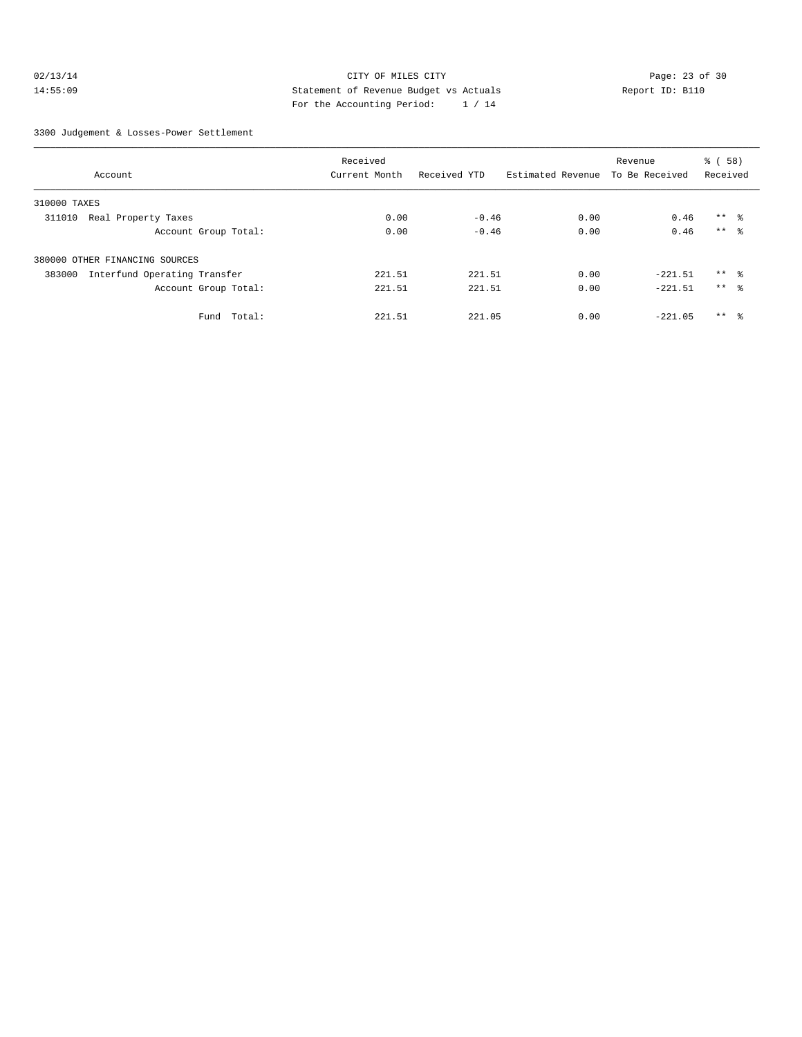## 02/13/14 Page: 23 of 30 14:55:09 Statement of Revenue Budget vs Actuals Report ID: B110 For the Accounting Period: 1 / 14

3300 Judgement & Losses-Power Settlement

|                                        | Received      |              |                   | Revenue        | % (58)          |
|----------------------------------------|---------------|--------------|-------------------|----------------|-----------------|
| Account                                | Current Month | Received YTD | Estimated Revenue | To Be Received | Received        |
| 310000 TAXES                           |               |              |                   |                |                 |
| Real Property Taxes<br>311010          | 0.00          | $-0.46$      | 0.00              | 0.46           | $***$ $\approx$ |
| Account Group Total:                   | 0.00          | $-0.46$      | 0.00              | 0.46           | $***$ $\approx$ |
| 380000 OTHER FINANCING SOURCES         |               |              |                   |                |                 |
| 383000<br>Interfund Operating Transfer | 221.51        | 221.51       | 0.00              | $-221.51$      | $***$ 8         |
| Account Group Total:                   | 221.51        | 221.51       | 0.00              | $-221.51$      | $***$ $\approx$ |
| Fund Total:                            | 221.51        | 221.05       | 0.00              | $-221.05$      | $***$ $\approx$ |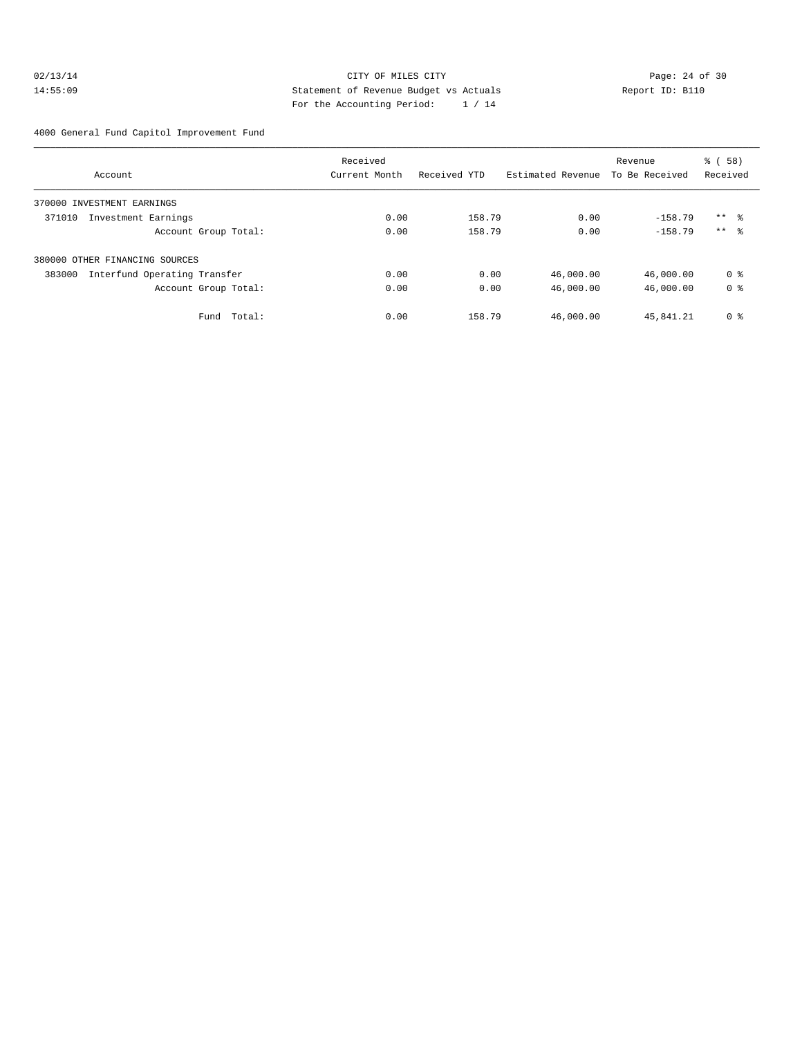## 02/13/14 Page: 24 of 30 14:55:09 Statement of Revenue Budget vs Actuals Report ID: B110 For the Accounting Period: 1 / 14

4000 General Fund Capitol Improvement Fund

|                                        | Received      |              |                   | Revenue        | ී (<br>58)      |
|----------------------------------------|---------------|--------------|-------------------|----------------|-----------------|
| Account                                | Current Month | Received YTD | Estimated Revenue | To Be Received | Received        |
| 370000 INVESTMENT EARNINGS             |               |              |                   |                |                 |
| 371010<br>Investment Earnings          | 0.00          | 158.79       | 0.00              | $-158.79$      | $***$ 8         |
| Account Group Total:                   | 0.00          | 158.79       | 0.00              | $-158.79$      | $***$ $\approx$ |
| 380000 OTHER FINANCING SOURCES         |               |              |                   |                |                 |
| 383000<br>Interfund Operating Transfer | 0.00          | 0.00         | 46,000.00         | 46,000.00      | 0 %             |
| Account Group Total:                   | 0.00          | 0.00         | 46,000.00         | 46,000.00      | 0 <sup>8</sup>  |
| Total:<br>Fund                         | 0.00          | 158.79       | 46,000.00         | 45,841.21      | 0 <sup>8</sup>  |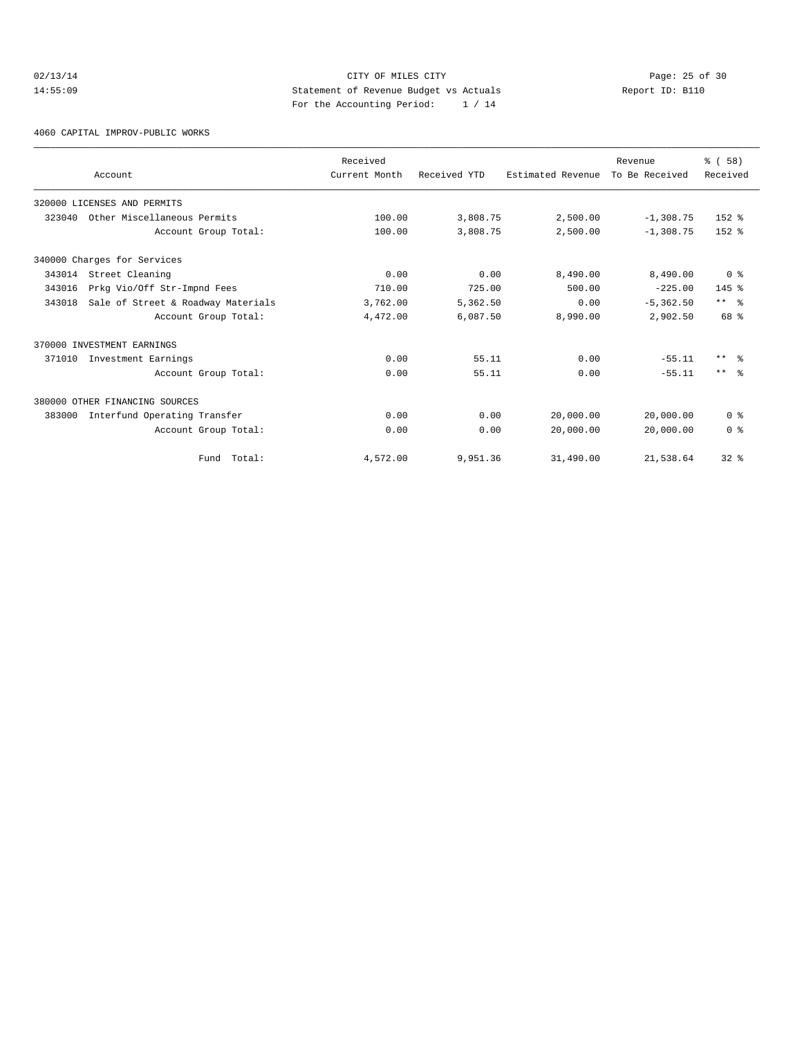## 02/13/14 Page: 25 of 30 14:55:09 Statement of Revenue Budget vs Actuals Report ID: B110 For the Accounting Period: 1 / 14

4060 CAPITAL IMPROV-PUBLIC WORKS

|        |                                    | Received      |              |                   | Revenue        | % (58)          |
|--------|------------------------------------|---------------|--------------|-------------------|----------------|-----------------|
|        | Account                            | Current Month | Received YTD | Estimated Revenue | To Be Received | Received        |
|        | 320000 LICENSES AND PERMITS        |               |              |                   |                |                 |
| 323040 | Other Miscellaneous Permits        | 100.00        | 3,808.75     | 2,500.00          | $-1,308.75$    | $152$ $%$       |
|        | Account Group Total:               | 100.00        | 3,808.75     | 2,500.00          | $-1,308.75$    | $152$ $%$       |
|        | 340000 Charges for Services        |               |              |                   |                |                 |
| 343014 | Street Cleaning                    | 0.00          | 0.00         | 8,490.00          | 8,490.00       | 0 <sup>8</sup>  |
| 343016 | Prkg Vio/Off Str-Impnd Fees        | 710.00        | 725.00       | 500.00            | $-225.00$      | $145$ %         |
| 343018 | Sale of Street & Roadway Materials | 3,762.00      | 5,362.50     | 0.00              | $-5, 362.50$   | $***$ %         |
|        | Account Group Total:               | 4,472.00      | 6,087.50     | 8,990.00          | 2,902.50       | 68 %            |
|        | 370000 INVESTMENT EARNINGS         |               |              |                   |                |                 |
| 371010 | Investment Earnings                | 0.00          | 55.11        | 0.00              | $-55.11$       | $***$ $\approx$ |
|        | Account Group Total:               | 0.00          | 55.11        | 0.00              | $-55.11$       | $***$ $ -$      |
|        | 380000 OTHER FINANCING SOURCES     |               |              |                   |                |                 |
| 383000 | Interfund Operating Transfer       | 0.00          | 0.00         | 20,000.00         | 20,000.00      | 0 <sup>8</sup>  |
|        | Account Group Total:               | 0.00          | 0.00         | 20,000.00         | 20,000.00      | 0 <sup>8</sup>  |
|        | Fund Total:                        | 4,572.00      | 9,951.36     | 31,490.00         | 21,538.64      | $32*$           |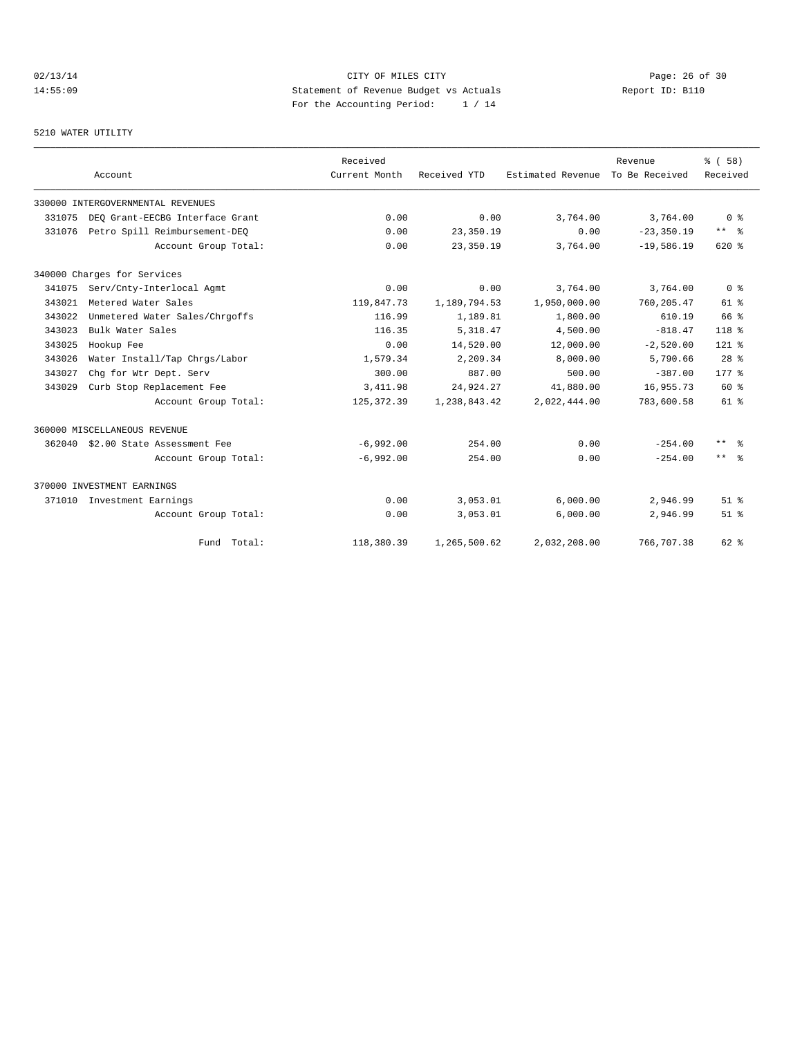# 02/13/14 Page: 26 of 30 14:55:09 Statement of Revenue Budget vs Actuals Report ID: B110<br>Report ID: B110 For the Accounting Period: 1 / 14

5210 WATER UTILITY

|        | Account                           | Received<br>Current Month | Received YTD | Estimated Revenue To Be Received | Revenue       | % ( 58 )<br>Received |
|--------|-----------------------------------|---------------------------|--------------|----------------------------------|---------------|----------------------|
|        | 330000 INTERGOVERNMENTAL REVENUES |                           |              |                                  |               |                      |
| 331075 | DEO Grant-EECBG Interface Grant   | 0.00                      | 0.00         | 3,764.00                         | 3,764.00      | 0 <sup>8</sup>       |
| 331076 | Petro Spill Reimbursement-DEQ     | 0.00                      | 23,350.19    | 0.00                             | $-23, 350.19$ | $***$ $ \frac{6}{9}$ |
|        | Account Group Total:              | 0.00                      | 23,350.19    | 3,764.00                         | $-19,586.19$  | $620*$               |
|        | 340000 Charges for Services       |                           |              |                                  |               |                      |
| 341075 | Serv/Cnty-Interlocal Agmt         | 0.00                      | 0.00         | 3,764.00                         | 3,764.00      | 0 <sup>8</sup>       |
| 343021 | Metered Water Sales               | 119,847.73                | 1,189,794.53 | 1,950,000.00                     | 760, 205.47   | $61$ %               |
| 343022 | Unmetered Water Sales/Chrgoffs    | 116.99                    | 1,189.81     | 1,800.00                         | 610.19        | 66 %                 |
| 343023 | Bulk Water Sales                  | 116.35                    | 5, 318, 47   | 4,500.00                         | $-818.47$     | 118 %                |
| 343025 | Hookup Fee                        | 0.00                      | 14,520.00    | 12,000.00                        | $-2,520.00$   | $121$ %              |
| 343026 | Water Install/Tap Chrgs/Labor     | 1,579.34                  | 2,209.34     | 8,000.00                         | 5,790.66      | 28 <sup>8</sup>      |
| 343027 | Chq for Wtr Dept. Serv            | 300.00                    | 887.00       | 500.00                           | $-387.00$     | $177$ $%$            |
| 343029 | Curb Stop Replacement Fee         | 3, 411.98                 | 24,924.27    | 41,880.00                        | 16,955.73     | $60*$                |
|        | Account Group Total:              | 125, 372.39               | 1,238,843.42 | 2,022,444.00                     | 783,600.58    | $61$ %               |
|        | 360000 MISCELLANEOUS REVENUE      |                           |              |                                  |               |                      |
| 362040 | \$2.00 State Assessment Fee       | $-6,992.00$               | 254.00       | 0.00                             | $-254.00$     | $***$ $\approx$      |
|        | Account Group Total:              | $-6,992.00$               | 254.00       | 0.00                             | $-254.00$     | $***$ $ \frac{6}{6}$ |
|        | 370000 INVESTMENT EARNINGS        |                           |              |                                  |               |                      |
| 371010 | Investment Earnings               | 0.00                      | 3,053.01     | 6,000.00                         | 2,946.99      | $51$ $%$             |
|        | Account Group Total:              | 0.00                      | 3,053.01     | 6,000.00                         | 2,946.99      | $51$ $%$             |
|        | Fund Total:                       | 118,380.39                | 1,265,500.62 | 2,032,208.00                     | 766,707.38    | 62 %                 |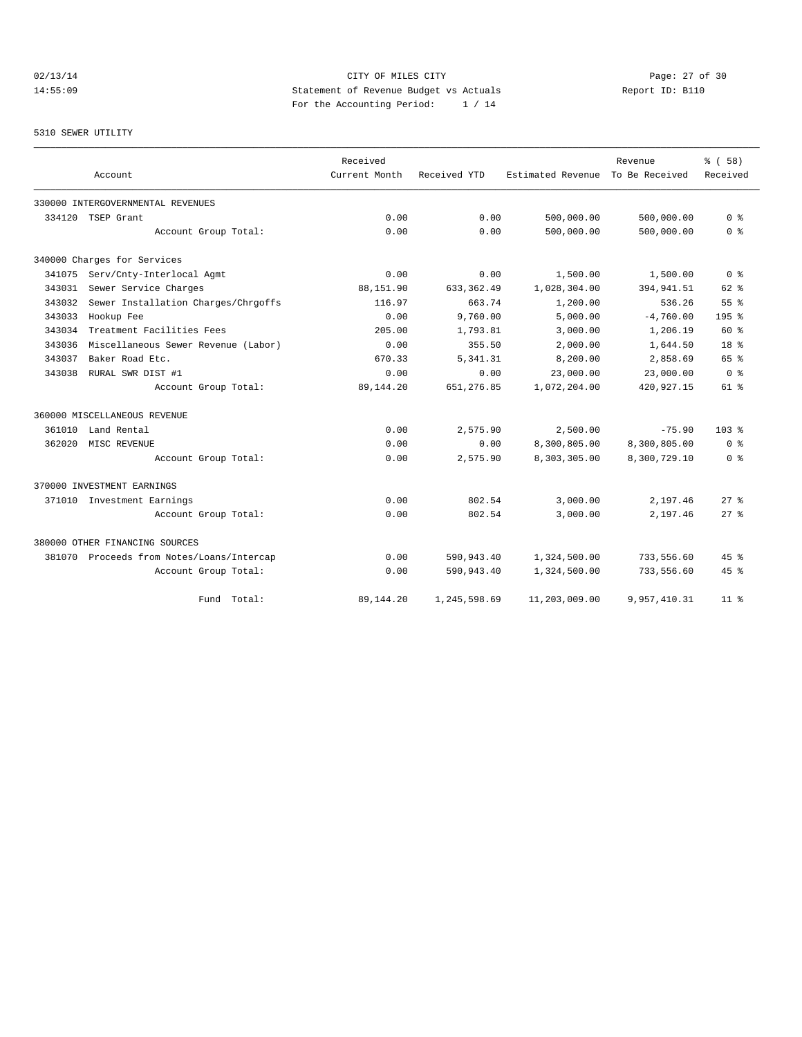## 02/13/14 Page: 27 of 30 14:55:09 Statement of Revenue Budget vs Actuals Report ID: B110 For the Accounting Period: 1 / 14

#### 5310 SEWER UTILITY

|        |                                           | Received      |              |                   | Revenue        | 8 ( 58 )           |
|--------|-------------------------------------------|---------------|--------------|-------------------|----------------|--------------------|
|        | Account                                   | Current Month | Received YTD | Estimated Revenue | To Be Received | Received           |
|        | 330000 INTERGOVERNMENTAL REVENUES         |               |              |                   |                |                    |
| 334120 | TSEP Grant                                | 0.00          | 0.00         | 500,000.00        | 500,000.00     | 0 <sup>8</sup>     |
|        | Account Group Total:                      | 0.00          | 0.00         | 500,000.00        | 500,000.00     | 0 <sup>8</sup>     |
|        | 340000 Charges for Services               |               |              |                   |                |                    |
| 341075 | Serv/Cnty-Interlocal Agmt                 | 0.00          | 0.00         | 1,500.00          | 1,500.00       | 0 <sup>8</sup>     |
| 343031 | Sewer Service Charges                     | 88,151.90     | 633, 362, 49 | 1,028,304.00      | 394, 941.51    | $62$ $%$           |
| 343032 | Sewer Installation Charges/Chrgoffs       | 116.97        | 663.74       | 1,200.00          | 536.26         | 55%                |
| 343033 | Hookup Fee                                | 0.00          | 9,760.00     | 5,000.00          | $-4,760.00$    | 195 <sub>8</sub>   |
| 343034 | Treatment Facilities Fees                 | 205.00        | 1,793.81     | 3,000.00          | 1,206.19       | 60%                |
| 343036 | Miscellaneous Sewer Revenue (Labor)       | 0.00          | 355.50       | 2,000.00          | 1,644.50       | 18 <sup>8</sup>    |
| 343037 | Baker Road Etc.                           | 670.33        | 5,341.31     | 8,200.00          | 2,858.69       | 65 %               |
| 343038 | RURAL SWR DIST #1                         | 0.00          | 0.00         | 23,000.00         | 23,000.00      | 0 <sup>8</sup>     |
|        | Account Group Total:                      | 89,144.20     | 651,276.85   | 1,072,204.00      | 420, 927. 15   | $61$ %             |
|        | 360000 MISCELLANEOUS REVENUE              |               |              |                   |                |                    |
| 361010 | Land Rental                               | 0.00          | 2,575.90     | 2,500.00          | $-75.90$       | $103*$             |
| 362020 | MISC REVENUE                              | 0.00          | 0.00         | 8,300,805.00      | 8,300,805.00   | 0 <sup>8</sup>     |
|        | Account Group Total:                      | 0.00          | 2,575.90     | 8,303,305.00      | 8,300,729.10   | 0 <sup>8</sup>     |
|        | 370000 INVESTMENT EARNINGS                |               |              |                   |                |                    |
|        | 371010 Investment Earnings                | 0.00          | 802.54       | 3,000.00          | 2,197.46       | 278                |
|        | Account Group Total:                      | 0.00          | 802.54       | 3,000.00          | 2,197.46       | $27$ $\approx$     |
|        | 380000 OTHER FINANCING SOURCES            |               |              |                   |                |                    |
|        | 381070 Proceeds from Notes/Loans/Intercap | 0.00          | 590,943.40   | 1,324,500.00      | 733,556.60     | 45%                |
|        | Account Group Total:                      | 0.00          | 590,943.40   | 1,324,500.00      | 733,556.60     | $45$ $\frac{6}{3}$ |
|        | Fund Total:                               | 89,144.20     | 1,245,598.69 | 11,203,009.00     | 9,957,410.31   | 11 <sup>8</sup>    |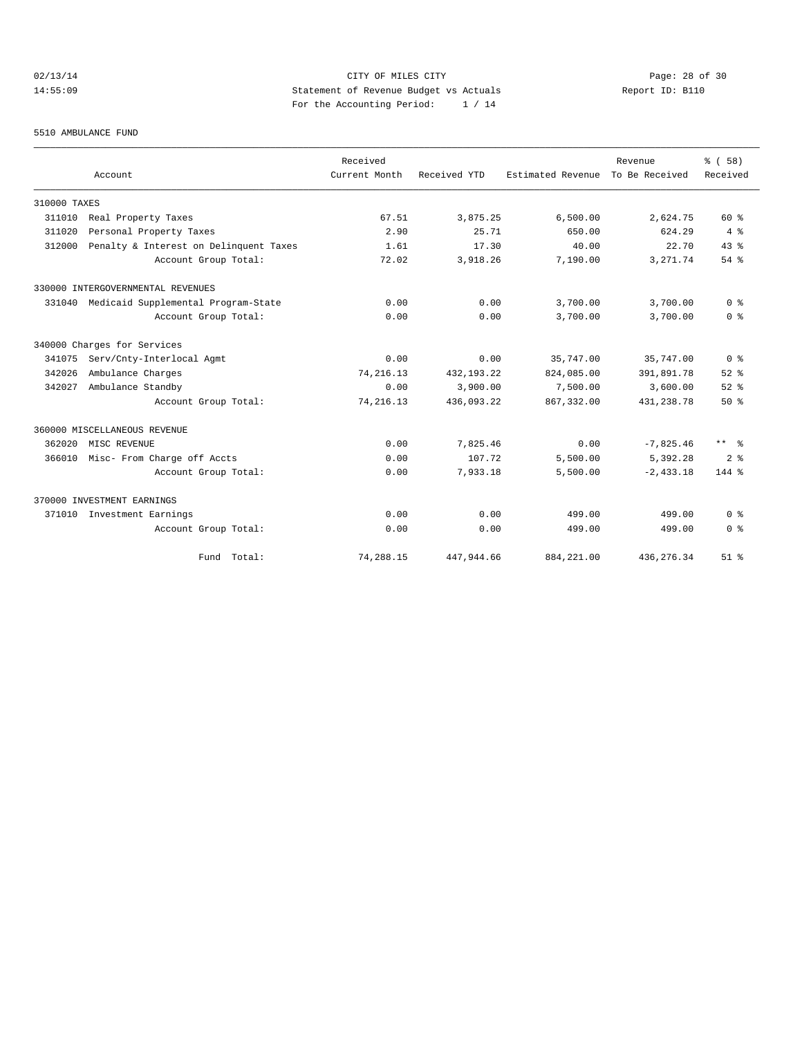## 02/13/14 Page: 28 of 30 14:55:09 Statement of Revenue Budget vs Actuals Report ID: B110 For the Accounting Period: 1 / 14

#### 5510 AMBULANCE FUND

|              | Account                                | Received<br>Current Month | Received YTD | Estimated Revenue | Revenue<br>To Be Received | % (58)<br>Received   |
|--------------|----------------------------------------|---------------------------|--------------|-------------------|---------------------------|----------------------|
|              |                                        |                           |              |                   |                           |                      |
| 310000 TAXES |                                        |                           |              |                   |                           |                      |
| 311010       | Real Property Taxes                    | 67.51                     | 3,875.25     | 6,500.00          | 2,624.75                  | $60*$                |
| 311020       | Personal Property Taxes                | 2.90                      | 25.71        | 650.00            | 624.29                    | 4%                   |
| 312000       | Penalty & Interest on Delinquent Taxes | 1.61                      | 17.30        | 40.00             | 22.70                     | 43.8                 |
|              | Account Group Total:                   | 72.02                     | 3,918.26     | 7,190.00          | 3, 271.74                 | $54$ $%$             |
|              | 330000 INTERGOVERNMENTAL REVENUES      |                           |              |                   |                           |                      |
| 331040       | Medicaid Supplemental Program-State    | 0.00                      | 0.00         | 3,700.00          | 3,700.00                  | 0 <sup>8</sup>       |
|              | Account Group Total:                   | 0.00                      | 0.00         | 3,700.00          | 3,700.00                  | 0 <sup>8</sup>       |
|              | 340000 Charges for Services            |                           |              |                   |                           |                      |
| 341075       | Serv/Cnty-Interlocal Agmt              | 0.00                      | 0.00         | 35,747.00         | 35,747.00                 | 0 <sup>8</sup>       |
| 342026       | Ambulance Charges                      | 74, 216. 13               | 432, 193. 22 | 824,085.00        | 391,891.78                | $52$ $%$             |
| 342027       | Ambulance Standby                      | 0.00                      | 3,900.00     | 7,500.00          | 3,600.00                  | $52$ $%$             |
|              | Account Group Total:                   | 74, 216.13                | 436,093.22   | 867, 332, 00      | 431, 238. 78              | 50%                  |
|              | 360000 MISCELLANEOUS REVENUE           |                           |              |                   |                           |                      |
| 362020       | MISC REVENUE                           | 0.00                      | 7,825.46     | 0.00              | $-7,825.46$               | $***$ $ \frac{6}{9}$ |
| 366010       | Misc- From Charge off Accts            | 0.00                      | 107.72       | 5,500.00          | 5,392.28                  | 2 <sup>8</sup>       |
|              | Account Group Total:                   | 0.00                      | 7,933.18     | 5,500.00          | $-2.433.18$               | 144 %                |
|              | 370000 INVESTMENT EARNINGS             |                           |              |                   |                           |                      |
| 371010       | Investment Earnings                    | 0.00                      | 0.00         | 499.00            | 499.00                    | 0 <sup>8</sup>       |
|              | Account Group Total:                   | 0.00                      | 0.00         | 499.00            | 499.00                    | 0 <sup>8</sup>       |
|              | Fund Total:                            | 74,288.15                 | 447,944.66   | 884, 221.00       | 436, 276.34               | $51$ $%$             |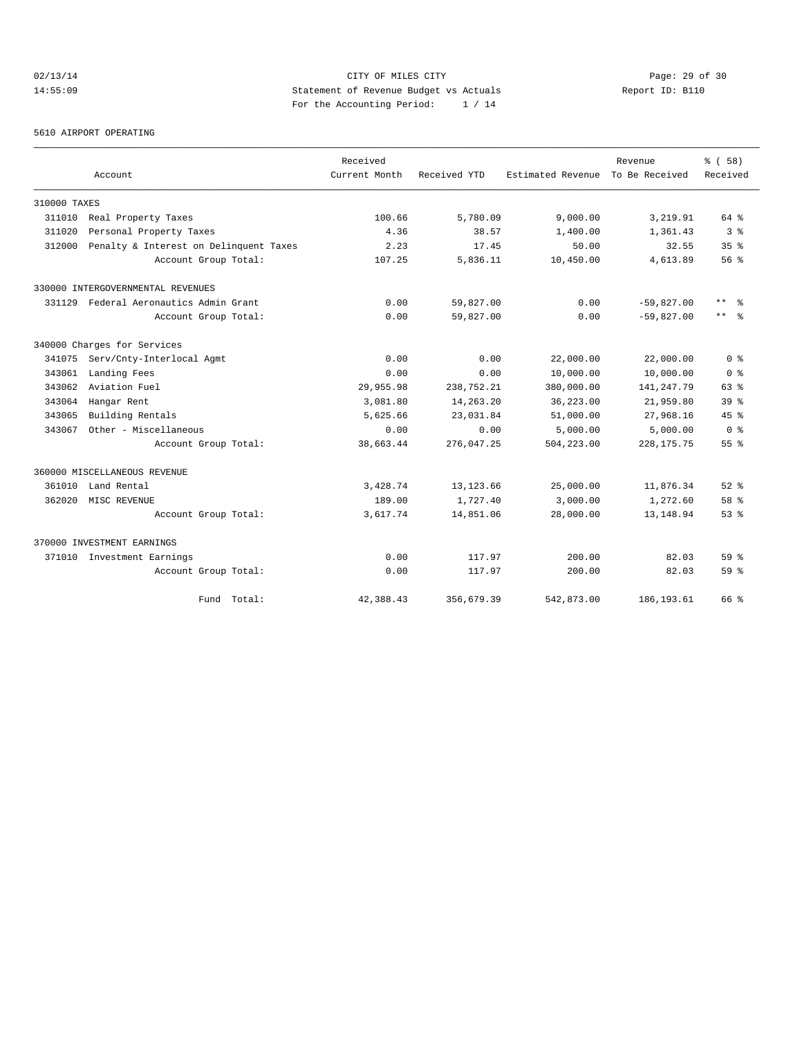## 02/13/14 Page: 29 of 30 14:55:09 Statement of Revenue Budget vs Actuals Report ID: B110 For the Accounting Period: 1 / 14

#### 5610 AIRPORT OPERATING

|              |                                        | Received      |              |                   | Revenue        | % ( 58 )        |
|--------------|----------------------------------------|---------------|--------------|-------------------|----------------|-----------------|
|              | Account                                | Current Month | Received YTD | Estimated Revenue | To Be Received | Received        |
| 310000 TAXES |                                        |               |              |                   |                |                 |
| 311010       | Real Property Taxes                    | 100.66        | 5,780.09     | 9,000.00          | 3,219.91       | 64 %            |
| 311020       | Personal Property Taxes                | 4.36          | 38.57        | 1,400.00          | 1,361.43       | 3 <sup>8</sup>  |
| 312000       | Penalty & Interest on Delinquent Taxes | 2.23          | 17.45        | 50.00             | 32.55          | 35 <sup>8</sup> |
|              | Account Group Total:                   | 107.25        | 5,836.11     | 10,450.00         | 4,613.89       | 56%             |
|              | 330000 INTERGOVERNMENTAL REVENUES      |               |              |                   |                |                 |
|              | 331129 Federal Aeronautics Admin Grant | 0.00          | 59,827.00    | 0.00              | $-59,827.00$   | $***$<br>- 옹    |
|              | Account Group Total:                   | 0.00          | 59,827.00    | 0.00              | $-59,827.00$   | $***$ 8         |
|              | 340000 Charges for Services            |               |              |                   |                |                 |
| 341075       | Serv/Cnty-Interlocal Agmt              | 0.00          | 0.00         | 22,000.00         | 22,000.00      | 0 <sup>8</sup>  |
| 343061       | Landing Fees                           | 0.00          | 0.00         | 10,000.00         | 10,000.00      | 0 %             |
| 343062       | Aviation Fuel                          | 29,955.98     | 238,752.21   | 380,000.00        | 141, 247. 79   | 63%             |
| 343064       | Hangar Rent                            | 3,081.80      | 14,263.20    | 36,223.00         | 21,959.80      | 39 <sup>8</sup> |
| 343065       | Building Rentals                       | 5,625.66      | 23,031.84    | 51,000.00         | 27,968.16      | 45%             |
| 343067       | Other - Miscellaneous                  | 0.00          | 0.00         | 5,000.00          | 5,000.00       | 0 <sup>8</sup>  |
|              | Account Group Total:                   | 38,663.44     | 276,047.25   | 504,223.00        | 228, 175. 75   | 55 %            |
|              | 360000 MISCELLANEOUS REVENUE           |               |              |                   |                |                 |
| 361010       | Land Rental                            | 3,428.74      | 13, 123.66   | 25,000.00         | 11,876.34      | $52$ $%$        |
| 362020       | MISC REVENUE                           | 189.00        | 1,727.40     | 3,000.00          | 1,272.60       | 58 %            |
|              | Account Group Total:                   | 3,617.74      | 14,851.06    | 28,000.00         | 13, 148.94     | $53$ $%$        |
|              | 370000 INVESTMENT EARNINGS             |               |              |                   |                |                 |
| 371010       | Investment Earnings                    | 0.00          | 117.97       | 200.00            | 82.03          | 59 <sup>8</sup> |
|              | Account Group Total:                   | 0.00          | 117.97       | 200.00            | 82.03          | 59 <sup>8</sup> |
|              | Fund Total:                            | 42,388.43     | 356,679.39   | 542,873.00        | 186, 193.61    | 66 %            |